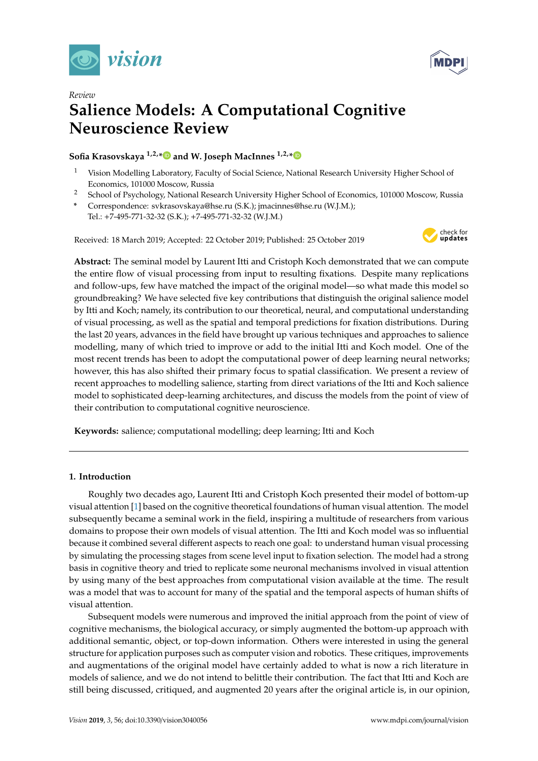



# *Review* **Salience Models: A Computational Cognitive Neuroscience Review**

# **Sofia Krasovskaya 1,2,[\\*](https://orcid.org/0000-0002-9120-7407) and W. Joseph MacInnes 1,2,[\\*](https://orcid.org/0000-0002-5134-1601)**

- <sup>1</sup> Vision Modelling Laboratory, Faculty of Social Science, National Research University Higher School of Economics, 101000 Moscow, Russia
- <sup>2</sup> School of Psychology, National Research University Higher School of Economics, 101000 Moscow, Russia
- **\*** Correspondence: svkrasovskaya@hse.ru (S.K.); jmacinnes@hse.ru (W.J.M.); Tel.: +7-495-771-32-32 (S.K.); +7-495-771-32-32 (W.J.M.)

Received: 18 March 2019; Accepted: 22 October 2019; Published: 25 October 2019



**Abstract:** The seminal model by Laurent Itti and Cristoph Koch demonstrated that we can compute the entire flow of visual processing from input to resulting fixations. Despite many replications and follow-ups, few have matched the impact of the original model—so what made this model so groundbreaking? We have selected five key contributions that distinguish the original salience model by Itti and Koch; namely, its contribution to our theoretical, neural, and computational understanding of visual processing, as well as the spatial and temporal predictions for fixation distributions. During the last 20 years, advances in the field have brought up various techniques and approaches to salience modelling, many of which tried to improve or add to the initial Itti and Koch model. One of the most recent trends has been to adopt the computational power of deep learning neural networks; however, this has also shifted their primary focus to spatial classification. We present a review of recent approaches to modelling salience, starting from direct variations of the Itti and Koch salience model to sophisticated deep-learning architectures, and discuss the models from the point of view of their contribution to computational cognitive neuroscience.

**Keywords:** salience; computational modelling; deep learning; Itti and Koch

# **1. Introduction**

Roughly two decades ago, Laurent Itti and Cristoph Koch presented their model of bottom-up visual attention [\[1\]](#page-16-0) based on the cognitive theoretical foundations of human visual attention. The model subsequently became a seminal work in the field, inspiring a multitude of researchers from various domains to propose their own models of visual attention. The Itti and Koch model was so influential because it combined several different aspects to reach one goal: to understand human visual processing by simulating the processing stages from scene level input to fixation selection. The model had a strong basis in cognitive theory and tried to replicate some neuronal mechanisms involved in visual attention by using many of the best approaches from computational vision available at the time. The result was a model that was to account for many of the spatial and the temporal aspects of human shifts of visual attention.

Subsequent models were numerous and improved the initial approach from the point of view of cognitive mechanisms, the biological accuracy, or simply augmented the bottom-up approach with additional semantic, object, or top-down information. Others were interested in using the general structure for application purposes such as computer vision and robotics. These critiques, improvements and augmentations of the original model have certainly added to what is now a rich literature in models of salience, and we do not intend to belittle their contribution. The fact that Itti and Koch are still being discussed, critiqued, and augmented 20 years after the original article is, in our opinion,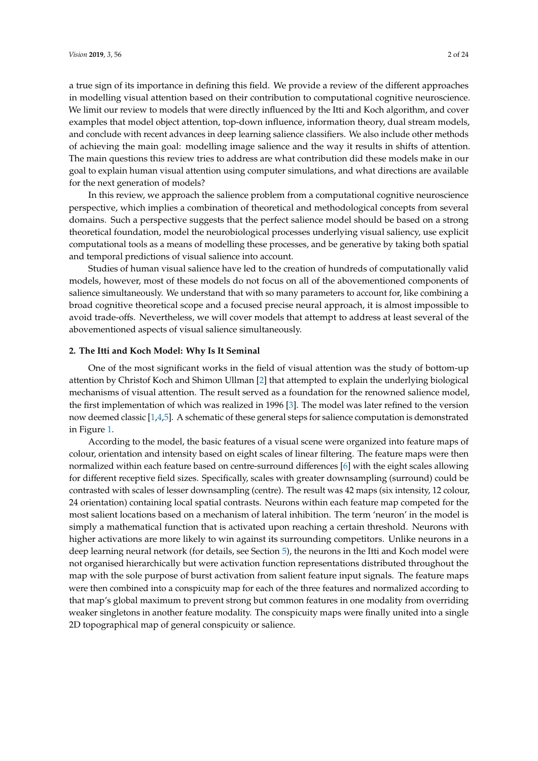a true sign of its importance in defining this field. We provide a review of the different approaches in modelling visual attention based on their contribution to computational cognitive neuroscience. We limit our review to models that were directly influenced by the Itti and Koch algorithm, and cover examples that model object attention, top-down influence, information theory, dual stream models, and conclude with recent advances in deep learning salience classifiers. We also include other methods of achieving the main goal: modelling image salience and the way it results in shifts of attention. The main questions this review tries to address are what contribution did these models make in our goal to explain human visual attention using computer simulations, and what directions are available for the next generation of models?

In this review, we approach the salience problem from a computational cognitive neuroscience perspective, which implies a combination of theoretical and methodological concepts from several domains. Such a perspective suggests that the perfect salience model should be based on a strong theoretical foundation, model the neurobiological processes underlying visual saliency, use explicit computational tools as a means of modelling these processes, and be generative by taking both spatial and temporal predictions of visual salience into account.

Studies of human visual salience have led to the creation of hundreds of computationally valid models, however, most of these models do not focus on all of the abovementioned components of salience simultaneously. We understand that with so many parameters to account for, like combining a broad cognitive theoretical scope and a focused precise neural approach, it is almost impossible to avoid trade-offs. Nevertheless, we will cover models that attempt to address at least several of the abovementioned aspects of visual salience simultaneously.

## **2. The Itti and Koch Model: Why Is It Seminal**

One of the most significant works in the field of visual attention was the study of bottom-up attention by Christof Koch and Shimon Ullman [\[2\]](#page-16-1) that attempted to explain the underlying biological mechanisms of visual attention. The result served as a foundation for the renowned salience model, the first implementation of which was realized in 1996 [\[3\]](#page-16-2). The model was later refined to the version now deemed classic [\[1,](#page-16-0)[4,](#page-16-3)[5\]](#page-16-4). A schematic of these general steps for salience computation is demonstrated in Figure [1.](#page-2-0)

According to the model, the basic features of a visual scene were organized into feature maps of colour, orientation and intensity based on eight scales of linear filtering. The feature maps were then normalized within each feature based on centre-surround differences [\[6\]](#page-16-5) with the eight scales allowing for different receptive field sizes. Specifically, scales with greater downsampling (surround) could be contrasted with scales of lesser downsampling (centre). The result was 42 maps (six intensity, 12 colour, 24 orientation) containing local spatial contrasts. Neurons within each feature map competed for the most salient locations based on a mechanism of lateral inhibition. The term 'neuron' in the model is simply a mathematical function that is activated upon reaching a certain threshold. Neurons with higher activations are more likely to win against its surrounding competitors. Unlike neurons in a deep learning neural network (for details, see Section [5\)](#page-12-0), the neurons in the Itti and Koch model were not organised hierarchically but were activation function representations distributed throughout the map with the sole purpose of burst activation from salient feature input signals. The feature maps were then combined into a conspicuity map for each of the three features and normalized according to that map's global maximum to prevent strong but common features in one modality from overriding weaker singletons in another feature modality. The conspicuity maps were finally united into a single 2D topographical map of general conspicuity or salience.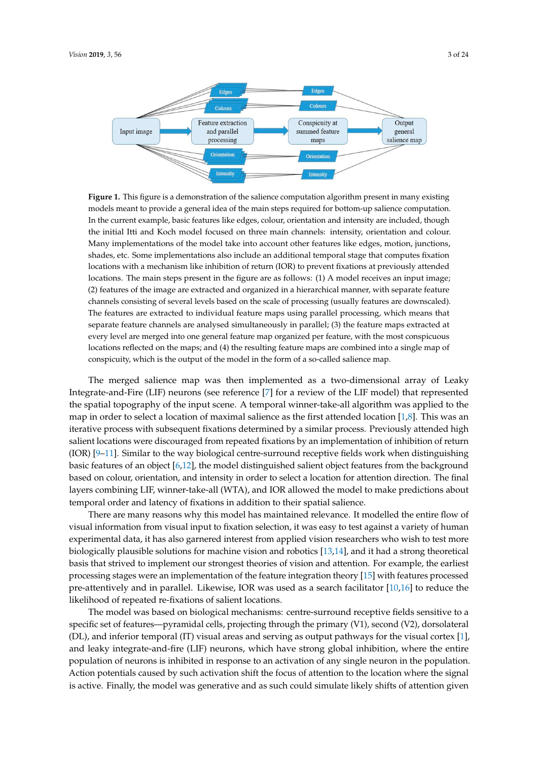<span id="page-2-0"></span>

**Figure 1.** This figure is a demonstration of the salience computation algorithm present in many **Figure 1.** This figure is a demonstration of the salience computation algorithm present in many existing models meant to provide a general idea of the main steps required for bottom-up salience computation. In the current example, basic features like edges, colour, orientation and intensity are included, though the initial Itti and Koch model focused on three main channels: intensity, orientation and colour. Many implementations of the model take into account other features like edges, motion, junctions, shades, etc. Some implementations also include an additional temporal stage that computes fixation locations with a mechanism like inhibition of return (IOR) to prevent fixations at previously attended locations. The main steps present in the figure are as follows:  $(1)$  A model receives an input image; (2) features of the image are extracted and organized in a hierarchical manner, with separate feature feature channels consisting of several levels based on the scale of processing (usually features are channels consisting of several levels based on the scale of processing (usually features are downscaled). The features are extracted to individual feature maps using parallel processing, which means that means that separate feature channels are analysed simultaneously in parallel; (3) the feature maps separate feature channels are analysed simultaneously in parallel; (3) the feature maps extracted at every level are merged into one general feature map organized per feature, with the most conspicuous locations reflected on the maps; and (4) the resulting feature maps are combined into a single map of conspicuity, which is the output of the model in the form of a so-called salience map.

The merged salience map was then implemented as a two-dimensional array of Leaky Integrate-and-Fire (LIF) neurons (see reference [\[7\]](#page-16-6) for a review of the LIF model) that represented the spatial topography of the input scene. A temporal winner-take-all algorithm was applied to the map in order to select a location of maximal salience as the first attended location [\[1](#page-16-0)[,8\]](#page-16-7). This was an iterative process with subsequent fixations determined by a similar process. Previously attended high salient locations were discouraged from repeated fixations by an implementation of inhibition of return  $(IOR)$  [\[9](#page-16-8)[–11\]](#page-16-9). Similar to the way biological centre-surround receptive fields work when distinguishing basic features of an object [\[6,](#page-16-5)[12\]](#page-16-10), the model distinguished salient object features from the background based on colour, orientation, and intensity in order to select a location for attention direction. The final layers combining LIF, winner-take-all (WTA), and IOR allowed the model to make predictions about temporal order and latency of fixations in addition to their spatial salience.

There are many reasons why this model has maintained relevance. It modelled the entire flow of visual information from visual input to fixation selection, it was easy to test against a variety of human experimental data, it has also garnered interest from applied vision researchers who wish to test more biologically plausible solutions for machine vision and robotics [\[13,](#page-16-11)[14\]](#page-16-12), and it had a strong theoretical basis that strived to implement our strongest theories of vision and attention. For example, the earliest processing stages were an implementation of the feature integration theory [\[15\]](#page-16-13) with features processed pre-attentively and in parallel. Likewise, IOR was used as a search facilitator [\[10](#page-16-14)[,16\]](#page-16-15) to reduce the likelihood of repeated re-fixations of salient locations.

The model was based on biological mechanisms: centre-surround receptive fields sensitive to a specific set of features—pyramidal cells, projecting through the primary (V1), second (V2), dorsolateral (DL), and inferior temporal (IT) visual areas and serving as output pathways for the visual cortex [\[1\]](#page-16-0), and leaky integrate-and-fire (LIF) neurons, which have strong global inhibition, where the entire population of neurons is inhibited in response to an activation of any single neuron in the population. Action potentials caused by such activation shift the focus of attention to the location where the signal is active. Finally, the model was generative and as such could simulate likely shifts of attention given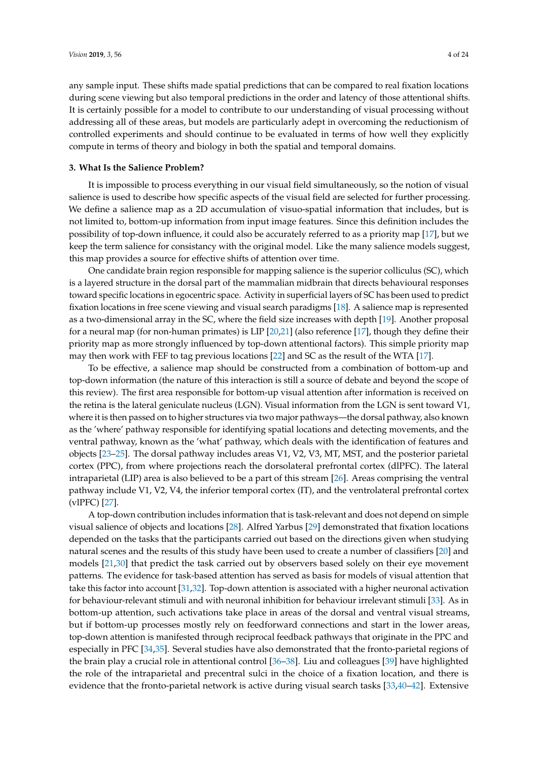any sample input. These shifts made spatial predictions that can be compared to real fixation locations during scene viewing but also temporal predictions in the order and latency of those attentional shifts. It is certainly possible for a model to contribute to our understanding of visual processing without addressing all of these areas, but models are particularly adept in overcoming the reductionism of controlled experiments and should continue to be evaluated in terms of how well they explicitly compute in terms of theory and biology in both the spatial and temporal domains.

#### <span id="page-3-0"></span>**3. What Is the Salience Problem?**

It is impossible to process everything in our visual field simultaneously, so the notion of visual salience is used to describe how specific aspects of the visual field are selected for further processing. We define a salience map as a 2D accumulation of visuo-spatial information that includes, but is not limited to, bottom-up information from input image features. Since this definition includes the possibility of top-down influence, it could also be accurately referred to as a priority map [\[17\]](#page-17-0), but we keep the term salience for consistancy with the original model. Like the many salience models suggest, this map provides a source for effective shifts of attention over time.

One candidate brain region responsible for mapping salience is the superior colliculus (SC), which is a layered structure in the dorsal part of the mammalian midbrain that directs behavioural responses toward specific locations in egocentric space. Activity in superficial layers of SC has been used to predict fixation locations in free scene viewing and visual search paradigms [\[18\]](#page-17-1). A salience map is represented as a two-dimensional array in the SC, where the field size increases with depth [\[19\]](#page-17-2). Another proposal for a neural map (for non-human primates) is LIP [\[20,](#page-17-3)[21\]](#page-17-4) (also reference [\[17\]](#page-17-0), though they define their priority map as more strongly influenced by top-down attentional factors). This simple priority map may then work with FEF to tag previous locations [\[22\]](#page-17-5) and SC as the result of the WTA [\[17\]](#page-17-0).

To be effective, a salience map should be constructed from a combination of bottom-up and top-down information (the nature of this interaction is still a source of debate and beyond the scope of this review). The first area responsible for bottom-up visual attention after information is received on the retina is the lateral geniculate nucleus (LGN). Visual information from the LGN is sent toward V1, where it is then passed on to higher structures via two major pathways—the dorsal pathway, also known as the 'where' pathway responsible for identifying spatial locations and detecting movements, and the ventral pathway, known as the 'what' pathway, which deals with the identification of features and objects [\[23](#page-17-6)[–25\]](#page-17-7). The dorsal pathway includes areas V1, V2, V3, MT, MST, and the posterior parietal cortex (PPC), from where projections reach the dorsolateral prefrontal cortex (dlPFC). The lateral intraparietal (LIP) area is also believed to be a part of this stream [\[26\]](#page-17-8). Areas comprising the ventral pathway include V1, V2, V4, the inferior temporal cortex (IT), and the ventrolateral prefrontal cortex (vlPFC) [\[27\]](#page-17-9).

A top-down contribution includes information that is task-relevant and does not depend on simple visual salience of objects and locations [\[28\]](#page-17-10). Alfred Yarbus [\[29\]](#page-17-11) demonstrated that fixation locations depended on the tasks that the participants carried out based on the directions given when studying natural scenes and the results of this study have been used to create a number of classifiers [\[20\]](#page-17-3) and models [\[21,](#page-17-4)[30\]](#page-17-12) that predict the task carried out by observers based solely on their eye movement patterns. The evidence for task-based attention has served as basis for models of visual attention that take this factor into account [\[31](#page-17-13)[,32\]](#page-17-14). Top-down attention is associated with a higher neuronal activation for behaviour-relevant stimuli and with neuronal inhibition for behaviour irrelevant stimuli [\[33\]](#page-17-15). As in bottom-up attention, such activations take place in areas of the dorsal and ventral visual streams, but if bottom-up processes mostly rely on feedforward connections and start in the lower areas, top-down attention is manifested through reciprocal feedback pathways that originate in the PPC and especially in PFC [\[34](#page-17-16)[,35\]](#page-17-17). Several studies have also demonstrated that the fronto-parietal regions of the brain play a crucial role in attentional control [\[36](#page-17-18)[–38\]](#page-17-19). Liu and colleagues [\[39\]](#page-17-20) have highlighted the role of the intraparietal and precentral sulci in the choice of a fixation location, and there is evidence that the fronto-parietal network is active during visual search tasks [\[33,](#page-17-15)[40](#page-17-21)[–42\]](#page-18-0). Extensive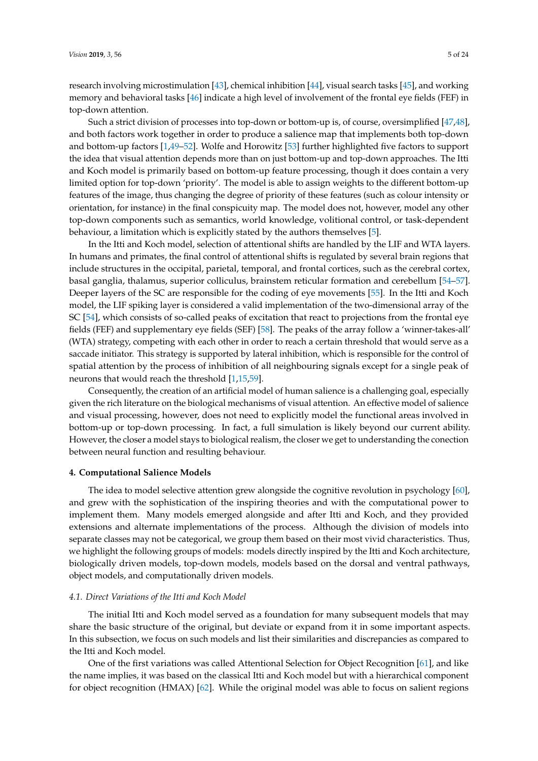research involving microstimulation [\[43\]](#page-18-1), chemical inhibition [\[44\]](#page-18-2), visual search tasks [\[45\]](#page-18-3), and working memory and behavioral tasks [\[46\]](#page-18-4) indicate a high level of involvement of the frontal eye fields (FEF) in top-down attention.

Such a strict division of processes into top-down or bottom-up is, of course, oversimplified [\[47](#page-18-5)[,48\]](#page-18-6), and both factors work together in order to produce a salience map that implements both top-down and bottom-up factors [\[1](#page-16-0)[,49](#page-18-7)[–52\]](#page-18-8). Wolfe and Horowitz [\[53\]](#page-18-9) further highlighted five factors to support the idea that visual attention depends more than on just bottom-up and top-down approaches. The Itti and Koch model is primarily based on bottom-up feature processing, though it does contain a very limited option for top-down 'priority'. The model is able to assign weights to the different bottom-up features of the image, thus changing the degree of priority of these features (such as colour intensity or orientation, for instance) in the final conspicuity map. The model does not, however, model any other top-down components such as semantics, world knowledge, volitional control, or task-dependent behaviour, a limitation which is explicitly stated by the authors themselves [\[5\]](#page-16-4).

In the Itti and Koch model, selection of attentional shifts are handled by the LIF and WTA layers. In humans and primates, the final control of attentional shifts is regulated by several brain regions that include structures in the occipital, parietal, temporal, and frontal cortices, such as the cerebral cortex, basal ganglia, thalamus, superior colliculus, brainstem reticular formation and cerebellum [\[54–](#page-18-10)[57\]](#page-18-11). Deeper layers of the SC are responsible for the coding of eye movements [\[55\]](#page-18-12). In the Itti and Koch model, the LIF spiking layer is considered a valid implementation of the two-dimensional array of the SC [\[54\]](#page-18-10), which consists of so-called peaks of excitation that react to projections from the frontal eye fields (FEF) and supplementary eye fields (SEF) [\[58\]](#page-18-13). The peaks of the array follow a 'winner-takes-all' (WTA) strategy, competing with each other in order to reach a certain threshold that would serve as a saccade initiator. This strategy is supported by lateral inhibition, which is responsible for the control of spatial attention by the process of inhibition of all neighbouring signals except for a single peak of neurons that would reach the threshold [\[1,](#page-16-0)[15,](#page-16-13)[59\]](#page-18-14).

Consequently, the creation of an artificial model of human salience is a challenging goal, especially given the rich literature on the biological mechanisms of visual attention. An effective model of salience and visual processing, however, does not need to explicitly model the functional areas involved in bottom-up or top-down processing. In fact, a full simulation is likely beyond our current ability. However, the closer a model stays to biological realism, the closer we get to understanding the conection between neural function and resulting behaviour.

#### **4. Computational Salience Models**

The idea to model selective attention grew alongside the cognitive revolution in psychology [\[60\]](#page-18-15), and grew with the sophistication of the inspiring theories and with the computational power to implement them. Many models emerged alongside and after Itti and Koch, and they provided extensions and alternate implementations of the process. Although the division of models into separate classes may not be categorical, we group them based on their most vivid characteristics. Thus, we highlight the following groups of models: models directly inspired by the Itti and Koch architecture, biologically driven models, top-down models, models based on the dorsal and ventral pathways, object models, and computationally driven models.

### *4.1. Direct Variations of the Itti and Koch Model*

The initial Itti and Koch model served as a foundation for many subsequent models that may share the basic structure of the original, but deviate or expand from it in some important aspects. In this subsection, we focus on such models and list their similarities and discrepancies as compared to the Itti and Koch model.

One of the first variations was called Attentional Selection for Object Recognition [\[61\]](#page-18-16), and like the name implies, it was based on the classical Itti and Koch model but with a hierarchical component for object recognition (HMAX) [\[62\]](#page-18-17). While the original model was able to focus on salient regions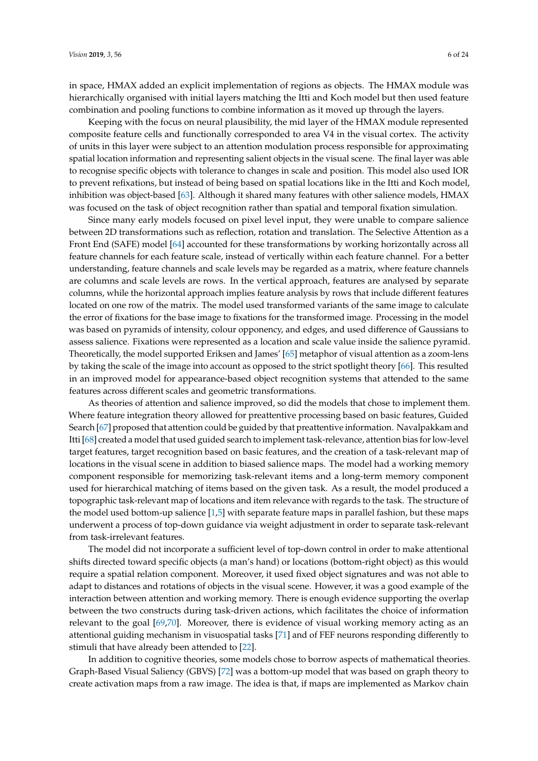in space, HMAX added an explicit implementation of regions as objects. The HMAX module was hierarchically organised with initial layers matching the Itti and Koch model but then used feature combination and pooling functions to combine information as it moved up through the layers.

Keeping with the focus on neural plausibility, the mid layer of the HMAX module represented composite feature cells and functionally corresponded to area V4 in the visual cortex. The activity of units in this layer were subject to an attention modulation process responsible for approximating spatial location information and representing salient objects in the visual scene. The final layer was able to recognise specific objects with tolerance to changes in scale and position. This model also used IOR to prevent refixations, but instead of being based on spatial locations like in the Itti and Koch model, inhibition was object-based [\[63\]](#page-18-18). Although it shared many features with other salience models, HMAX was focused on the task of object recognition rather than spatial and temporal fixation simulation.

Since many early models focused on pixel level input, they were unable to compare salience between 2D transformations such as reflection, rotation and translation. The Selective Attention as a Front End (SAFE) model [\[64\]](#page-18-19) accounted for these transformations by working horizontally across all feature channels for each feature scale, instead of vertically within each feature channel. For a better understanding, feature channels and scale levels may be regarded as a matrix, where feature channels are columns and scale levels are rows. In the vertical approach, features are analysed by separate columns, while the horizontal approach implies feature analysis by rows that include different features located on one row of the matrix. The model used transformed variants of the same image to calculate the error of fixations for the base image to fixations for the transformed image. Processing in the model was based on pyramids of intensity, colour opponency, and edges, and used difference of Gaussians to assess salience. Fixations were represented as a location and scale value inside the salience pyramid. Theoretically, the model supported Eriksen and James' [\[65\]](#page-18-20) metaphor of visual attention as a zoom-lens by taking the scale of the image into account as opposed to the strict spotlight theory [\[66\]](#page-18-21). This resulted in an improved model for appearance-based object recognition systems that attended to the same features across different scales and geometric transformations.

As theories of attention and salience improved, so did the models that chose to implement them. Where feature integration theory allowed for preattentive processing based on basic features, Guided Search [\[67\]](#page-18-22) proposed that attention could be guided by that preattentive information. Navalpakkam and Itti [\[68\]](#page-18-23) created a model that used guided search to implement task-relevance, attention bias for low-level target features, target recognition based on basic features, and the creation of a task-relevant map of locations in the visual scene in addition to biased salience maps. The model had a working memory component responsible for memorizing task-relevant items and a long-term memory component used for hierarchical matching of items based on the given task. As a result, the model produced a topographic task-relevant map of locations and item relevance with regards to the task. The structure of the model used bottom-up salience [\[1,](#page-16-0)[5\]](#page-16-4) with separate feature maps in parallel fashion, but these maps underwent a process of top-down guidance via weight adjustment in order to separate task-relevant from task-irrelevant features.

The model did not incorporate a sufficient level of top-down control in order to make attentional shifts directed toward specific objects (a man's hand) or locations (bottom-right object) as this would require a spatial relation component. Moreover, it used fixed object signatures and was not able to adapt to distances and rotations of objects in the visual scene. However, it was a good example of the interaction between attention and working memory. There is enough evidence supporting the overlap between the two constructs during task-driven actions, which facilitates the choice of information relevant to the goal [\[69,](#page-19-0)[70\]](#page-19-1). Moreover, there is evidence of visual working memory acting as an attentional guiding mechanism in visuospatial tasks [\[71\]](#page-19-2) and of FEF neurons responding differently to stimuli that have already been attended to [\[22\]](#page-17-5).

In addition to cognitive theories, some models chose to borrow aspects of mathematical theories. Graph-Based Visual Saliency (GBVS) [\[72\]](#page-19-3) was a bottom-up model that was based on graph theory to create activation maps from a raw image. The idea is that, if maps are implemented as Markov chain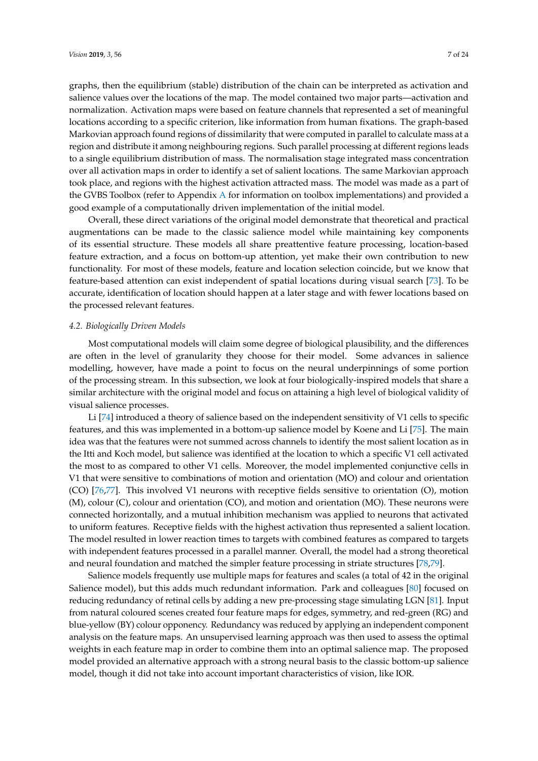graphs, then the equilibrium (stable) distribution of the chain can be interpreted as activation and salience values over the locations of the map. The model contained two major parts—activation and normalization. Activation maps were based on feature channels that represented a set of meaningful locations according to a specific criterion, like information from human fixations. The graph-based Markovian approach found regions of dissimilarity that were computed in parallel to calculate mass at a region and distribute it among neighbouring regions. Such parallel processing at different regions leads to a single equilibrium distribution of mass. The normalisation stage integrated mass concentration over all activation maps in order to identify a set of salient locations. The same Markovian approach took place, and regions with the highest activation attracted mass. The model was made as a part of the GVBS Toolbox (refer to Appendix [A](#page-16-16) for information on toolbox implementations) and provided a good example of a computationally driven implementation of the initial model.

Overall, these direct variations of the original model demonstrate that theoretical and practical augmentations can be made to the classic salience model while maintaining key components of its essential structure. These models all share preattentive feature processing, location-based feature extraction, and a focus on bottom-up attention, yet make their own contribution to new functionality. For most of these models, feature and location selection coincide, but we know that feature-based attention can exist independent of spatial locations during visual search [\[73\]](#page-19-4). To be accurate, identification of location should happen at a later stage and with fewer locations based on the processed relevant features.

#### *4.2. Biologically Driven Models*

Most computational models will claim some degree of biological plausibility, and the differences are often in the level of granularity they choose for their model. Some advances in salience modelling, however, have made a point to focus on the neural underpinnings of some portion of the processing stream. In this subsection, we look at four biologically-inspired models that share a similar architecture with the original model and focus on attaining a high level of biological validity of visual salience processes.

Li [\[74\]](#page-19-5) introduced a theory of salience based on the independent sensitivity of V1 cells to specific features, and this was implemented in a bottom-up salience model by Koene and Li [\[75\]](#page-19-6). The main idea was that the features were not summed across channels to identify the most salient location as in the Itti and Koch model, but salience was identified at the location to which a specific V1 cell activated the most to as compared to other V1 cells. Moreover, the model implemented conjunctive cells in V1 that were sensitive to combinations of motion and orientation (MO) and colour and orientation (CO) [\[76](#page-19-7)[,77\]](#page-19-8). This involved V1 neurons with receptive fields sensitive to orientation (O), motion (M), colour (C), colour and orientation (CO), and motion and orientation (MO). These neurons were connected horizontally, and a mutual inhibition mechanism was applied to neurons that activated to uniform features. Receptive fields with the highest activation thus represented a salient location. The model resulted in lower reaction times to targets with combined features as compared to targets with independent features processed in a parallel manner. Overall, the model had a strong theoretical and neural foundation and matched the simpler feature processing in striate structures [\[78](#page-19-9)[,79\]](#page-19-10).

Salience models frequently use multiple maps for features and scales (a total of 42 in the original Salience model), but this adds much redundant information. Park and colleagues [\[80\]](#page-19-11) focused on reducing redundancy of retinal cells by adding a new pre-processing stage simulating LGN [\[81\]](#page-19-12). Input from natural coloured scenes created four feature maps for edges, symmetry, and red-green (RG) and blue-yellow (BY) colour opponency. Redundancy was reduced by applying an independent component analysis on the feature maps. An unsupervised learning approach was then used to assess the optimal weights in each feature map in order to combine them into an optimal salience map. The proposed model provided an alternative approach with a strong neural basis to the classic bottom-up salience model, though it did not take into account important characteristics of vision, like IOR.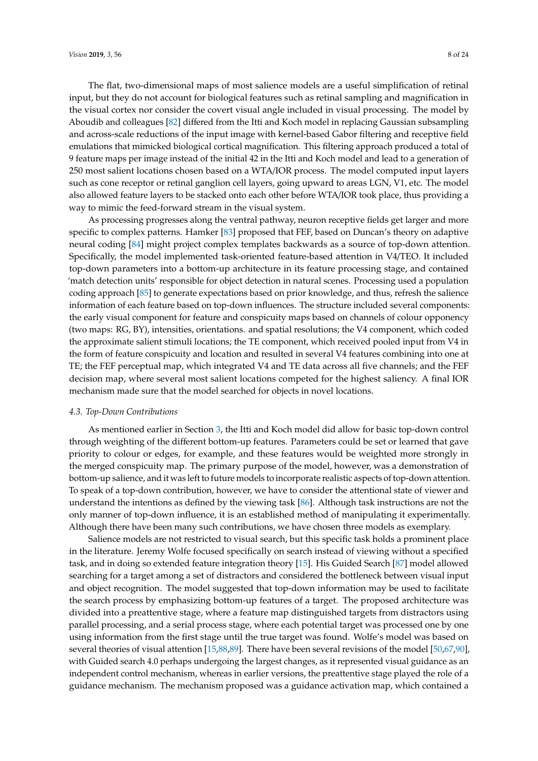The flat, two-dimensional maps of most salience models are a useful simplification of retinal input, but they do not account for biological features such as retinal sampling and magnification in the visual cortex nor consider the covert visual angle included in visual processing. The model by Aboudib and colleagues [\[82\]](#page-19-13) differed from the Itti and Koch model in replacing Gaussian subsampling and across-scale reductions of the input image with kernel-based Gabor filtering and receptive field emulations that mimicked biological cortical magnification. This filtering approach produced a total of 9 feature maps per image instead of the initial 42 in the Itti and Koch model and lead to a generation of

250 most salient locations chosen based on a WTA/IOR process. The model computed input layers such as cone receptor or retinal ganglion cell layers, going upward to areas LGN, V1, etc. The model also allowed feature layers to be stacked onto each other before WTA/IOR took place, thus providing a way to mimic the feed-forward stream in the visual system.

As processing progresses along the ventral pathway, neuron receptive fields get larger and more specific to complex patterns. Hamker [\[83\]](#page-19-14) proposed that FEF, based on Duncan's theory on adaptive neural coding [\[84\]](#page-19-15) might project complex templates backwards as a source of top-down attention. Specifically, the model implemented task-oriented feature-based attention in V4/TEO. It included top-down parameters into a bottom-up architecture in its feature processing stage, and contained 'match detection units' responsible for object detection in natural scenes. Processing used a population coding approach [\[85\]](#page-19-16) to generate expectations based on prior knowledge, and thus, refresh the salience information of each feature based on top-down influences. The structure included several components: the early visual component for feature and conspicuity maps based on channels of colour opponency (two maps: RG, BY), intensities, orientations. and spatial resolutions; the V4 component, which coded the approximate salient stimuli locations; the TE component, which received pooled input from V4 in the form of feature conspicuity and location and resulted in several V4 features combining into one at TE; the FEF perceptual map, which integrated V4 and TE data across all five channels; and the FEF decision map, where several most salient locations competed for the highest saliency. A final IOR mechanism made sure that the model searched for objects in novel locations.

## *4.3. Top-Down Contributions*

As mentioned earlier in Section [3,](#page-3-0) the Itti and Koch model did allow for basic top-down control through weighting of the different bottom-up features. Parameters could be set or learned that gave priority to colour or edges, for example, and these features would be weighted more strongly in the merged conspicuity map. The primary purpose of the model, however, was a demonstration of bottom-up salience, and it was left to future models to incorporate realistic aspects of top-down attention. To speak of a top-down contribution, however, we have to consider the attentional state of viewer and understand the intentions as defined by the viewing task [\[86\]](#page-19-17). Although task instructions are not the only manner of top-down influence, it is an established method of manipulating it experimentally. Although there have been many such contributions, we have chosen three models as exemplary.

Salience models are not restricted to visual search, but this specific task holds a prominent place in the literature. Jeremy Wolfe focused specifically on search instead of viewing without a specified task, and in doing so extended feature integration theory [\[15\]](#page-16-13). His Guided Search [\[87\]](#page-19-18) model allowed searching for a target among a set of distractors and considered the bottleneck between visual input and object recognition. The model suggested that top-down information may be used to facilitate the search process by emphasizing bottom-up features of a target. The proposed architecture was divided into a preattentive stage, where a feature map distinguished targets from distractors using parallel processing, and a serial process stage, where each potential target was processed one by one using information from the first stage until the true target was found. Wolfe's model was based on several theories of visual attention [\[15](#page-16-13)[,88,](#page-19-19)[89\]](#page-19-20). There have been several revisions of the model [\[50](#page-18-24)[,67](#page-18-22)[,90\]](#page-19-21), with Guided search 4.0 perhaps undergoing the largest changes, as it represented visual guidance as an independent control mechanism, whereas in earlier versions, the preattentive stage played the role of a guidance mechanism. The mechanism proposed was a guidance activation map, which contained a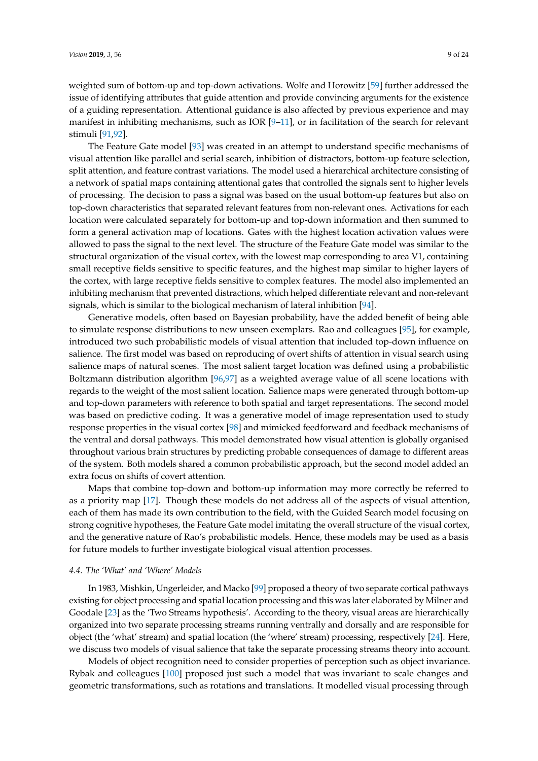weighted sum of bottom-up and top-down activations. Wolfe and Horowitz [\[59\]](#page-18-14) further addressed the issue of identifying attributes that guide attention and provide convincing arguments for the existence of a guiding representation. Attentional guidance is also affected by previous experience and may manifest in inhibiting mechanisms, such as IOR  $[9-11]$  $[9-11]$ , or in facilitation of the search for relevant stimuli [\[91](#page-19-22)[,92\]](#page-19-23).

The Feature Gate model [\[93\]](#page-19-24) was created in an attempt to understand specific mechanisms of visual attention like parallel and serial search, inhibition of distractors, bottom-up feature selection, split attention, and feature contrast variations. The model used a hierarchical architecture consisting of a network of spatial maps containing attentional gates that controlled the signals sent to higher levels of processing. The decision to pass a signal was based on the usual bottom-up features but also on top-down characteristics that separated relevant features from non-relevant ones. Activations for each location were calculated separately for bottom-up and top-down information and then summed to form a general activation map of locations. Gates with the highest location activation values were allowed to pass the signal to the next level. The structure of the Feature Gate model was similar to the structural organization of the visual cortex, with the lowest map corresponding to area V1, containing small receptive fields sensitive to specific features, and the highest map similar to higher layers of the cortex, with large receptive fields sensitive to complex features. The model also implemented an inhibiting mechanism that prevented distractions, which helped differentiate relevant and non-relevant signals, which is similar to the biological mechanism of lateral inhibition [\[94\]](#page-19-25).

Generative models, often based on Bayesian probability, have the added benefit of being able to simulate response distributions to new unseen exemplars. Rao and colleagues [\[95\]](#page-19-26), for example, introduced two such probabilistic models of visual attention that included top-down influence on salience. The first model was based on reproducing of overt shifts of attention in visual search using salience maps of natural scenes. The most salient target location was defined using a probabilistic Boltzmann distribution algorithm [\[96](#page-19-27)[,97\]](#page-20-0) as a weighted average value of all scene locations with regards to the weight of the most salient location. Salience maps were generated through bottom-up and top-down parameters with reference to both spatial and target representations. The second model was based on predictive coding. It was a generative model of image representation used to study response properties in the visual cortex [\[98\]](#page-20-1) and mimicked feedforward and feedback mechanisms of the ventral and dorsal pathways. This model demonstrated how visual attention is globally organised throughout various brain structures by predicting probable consequences of damage to different areas of the system. Both models shared a common probabilistic approach, but the second model added an extra focus on shifts of covert attention.

Maps that combine top-down and bottom-up information may more correctly be referred to as a priority map [\[17\]](#page-17-0). Though these models do not address all of the aspects of visual attention, each of them has made its own contribution to the field, with the Guided Search model focusing on strong cognitive hypotheses, the Feature Gate model imitating the overall structure of the visual cortex, and the generative nature of Rao's probabilistic models. Hence, these models may be used as a basis for future models to further investigate biological visual attention processes.

#### *4.4. The 'What' and 'Where' Models*

In 1983, Mishkin, Ungerleider, and Macko [\[99\]](#page-20-2) proposed a theory of two separate cortical pathways existing for object processing and spatial location processing and this was later elaborated by Milner and Goodale [\[23\]](#page-17-6) as the 'Two Streams hypothesis'. According to the theory, visual areas are hierarchically organized into two separate processing streams running ventrally and dorsally and are responsible for object (the 'what' stream) and spatial location (the 'where' stream) processing, respectively [\[24\]](#page-17-22). Here, we discuss two models of visual salience that take the separate processing streams theory into account.

Models of object recognition need to consider properties of perception such as object invariance. Rybak and colleagues [\[100\]](#page-20-3) proposed just such a model that was invariant to scale changes and geometric transformations, such as rotations and translations. It modelled visual processing through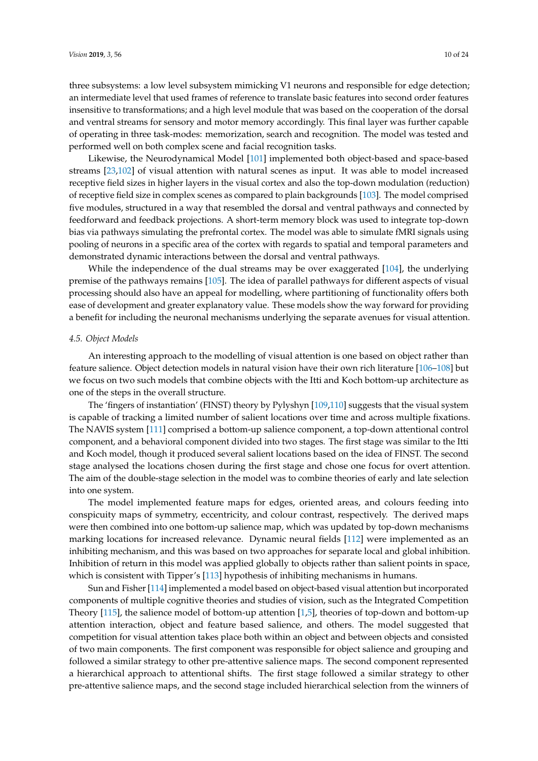three subsystems: a low level subsystem mimicking V1 neurons and responsible for edge detection; an intermediate level that used frames of reference to translate basic features into second order features insensitive to transformations; and a high level module that was based on the cooperation of the dorsal and ventral streams for sensory and motor memory accordingly. This final layer was further capable of operating in three task-modes: memorization, search and recognition. The model was tested and performed well on both complex scene and facial recognition tasks.

Likewise, the Neurodynamical Model [\[101\]](#page-20-4) implemented both object-based and space-based streams [\[23,](#page-17-6)[102\]](#page-20-5) of visual attention with natural scenes as input. It was able to model increased receptive field sizes in higher layers in the visual cortex and also the top-down modulation (reduction) of receptive field size in complex scenes as compared to plain backgrounds [\[103\]](#page-20-6). The model comprised five modules, structured in a way that resembled the dorsal and ventral pathways and connected by feedforward and feedback projections. A short-term memory block was used to integrate top-down bias via pathways simulating the prefrontal cortex. The model was able to simulate fMRI signals using pooling of neurons in a specific area of the cortex with regards to spatial and temporal parameters and demonstrated dynamic interactions between the dorsal and ventral pathways.

While the independence of the dual streams may be over exaggerated [\[104\]](#page-20-7), the underlying premise of the pathways remains [\[105\]](#page-20-8). The idea of parallel pathways for different aspects of visual processing should also have an appeal for modelling, where partitioning of functionality offers both ease of development and greater explanatory value. These models show the way forward for providing a benefit for including the neuronal mechanisms underlying the separate avenues for visual attention.

#### *4.5. Object Models*

An interesting approach to the modelling of visual attention is one based on object rather than feature salience. Object detection models in natural vision have their own rich literature [\[106](#page-20-9)[–108\]](#page-20-10) but we focus on two such models that combine objects with the Itti and Koch bottom-up architecture as one of the steps in the overall structure.

The 'fingers of instantiation' (FINST) theory by Pylyshyn [\[109](#page-20-11)[,110\]](#page-20-12) suggests that the visual system is capable of tracking a limited number of salient locations over time and across multiple fixations. The NAVIS system [\[111\]](#page-20-13) comprised a bottom-up salience component, a top-down attentional control component, and a behavioral component divided into two stages. The first stage was similar to the Itti and Koch model, though it produced several salient locations based on the idea of FINST. The second stage analysed the locations chosen during the first stage and chose one focus for overt attention. The aim of the double-stage selection in the model was to combine theories of early and late selection into one system.

The model implemented feature maps for edges, oriented areas, and colours feeding into conspicuity maps of symmetry, eccentricity, and colour contrast, respectively. The derived maps were then combined into one bottom-up salience map, which was updated by top-down mechanisms marking locations for increased relevance. Dynamic neural fields [\[112\]](#page-20-14) were implemented as an inhibiting mechanism, and this was based on two approaches for separate local and global inhibition. Inhibition of return in this model was applied globally to objects rather than salient points in space, which is consistent with Tipper's [\[113\]](#page-20-15) hypothesis of inhibiting mechanisms in humans.

Sun and Fisher [\[114\]](#page-20-16) implemented a model based on object-based visual attention but incorporated components of multiple cognitive theories and studies of vision, such as the Integrated Competition Theory [\[115\]](#page-20-17), the salience model of bottom-up attention [\[1](#page-16-0)[,5\]](#page-16-4), theories of top-down and bottom-up attention interaction, object and feature based salience, and others. The model suggested that competition for visual attention takes place both within an object and between objects and consisted of two main components. The first component was responsible for object salience and grouping and followed a similar strategy to other pre-attentive salience maps. The second component represented a hierarchical approach to attentional shifts. The first stage followed a similar strategy to other pre-attentive salience maps, and the second stage included hierarchical selection from the winners of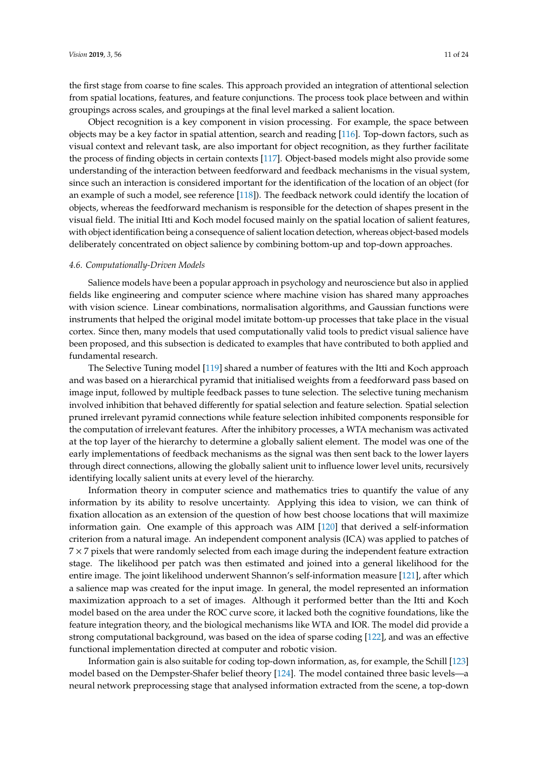the first stage from coarse to fine scales. This approach provided an integration of attentional selection from spatial locations, features, and feature conjunctions. The process took place between and within groupings across scales, and groupings at the final level marked a salient location.

Object recognition is a key component in vision processing. For example, the space between objects may be a key factor in spatial attention, search and reading [\[116\]](#page-20-18). Top-down factors, such as visual context and relevant task, are also important for object recognition, as they further facilitate the process of finding objects in certain contexts [\[117\]](#page-20-19). Object-based models might also provide some understanding of the interaction between feedforward and feedback mechanisms in the visual system, since such an interaction is considered important for the identification of the location of an object (for an example of such a model, see reference [\[118\]](#page-20-20)). The feedback network could identify the location of objects, whereas the feedforward mechanism is responsible for the detection of shapes present in the visual field. The initial Itti and Koch model focused mainly on the spatial location of salient features, with object identification being a consequence of salient location detection, whereas object-based models deliberately concentrated on object salience by combining bottom-up and top-down approaches.

#### *4.6. Computationally-Driven Models*

Salience models have been a popular approach in psychology and neuroscience but also in applied fields like engineering and computer science where machine vision has shared many approaches with vision science. Linear combinations, normalisation algorithms, and Gaussian functions were instruments that helped the original model imitate bottom-up processes that take place in the visual cortex. Since then, many models that used computationally valid tools to predict visual salience have been proposed, and this subsection is dedicated to examples that have contributed to both applied and fundamental research.

The Selective Tuning model [\[119\]](#page-20-21) shared a number of features with the Itti and Koch approach and was based on a hierarchical pyramid that initialised weights from a feedforward pass based on image input, followed by multiple feedback passes to tune selection. The selective tuning mechanism involved inhibition that behaved differently for spatial selection and feature selection. Spatial selection pruned irrelevant pyramid connections while feature selection inhibited components responsible for the computation of irrelevant features. After the inhibitory processes, a WTA mechanism was activated at the top layer of the hierarchy to determine a globally salient element. The model was one of the early implementations of feedback mechanisms as the signal was then sent back to the lower layers through direct connections, allowing the globally salient unit to influence lower level units, recursively identifying locally salient units at every level of the hierarchy.

Information theory in computer science and mathematics tries to quantify the value of any information by its ability to resolve uncertainty. Applying this idea to vision, we can think of fixation allocation as an extension of the question of how best choose locations that will maximize information gain. One example of this approach was AIM [\[120\]](#page-20-22) that derived a self-information criterion from a natural image. An independent component analysis (ICA) was applied to patches of  $7 \times 7$  pixels that were randomly selected from each image during the independent feature extraction stage. The likelihood per patch was then estimated and joined into a general likelihood for the entire image. The joint likelihood underwent Shannon's self-information measure [\[121\]](#page-20-23), after which a salience map was created for the input image. In general, the model represented an information maximization approach to a set of images. Although it performed better than the Itti and Koch model based on the area under the ROC curve score, it lacked both the cognitive foundations, like the feature integration theory, and the biological mechanisms like WTA and IOR. The model did provide a strong computational background, was based on the idea of sparse coding [\[122\]](#page-20-24), and was an effective functional implementation directed at computer and robotic vision.

Information gain is also suitable for coding top-down information, as, for example, the Schill [\[123\]](#page-20-25) model based on the Dempster-Shafer belief theory [\[124\]](#page-21-0). The model contained three basic levels—a neural network preprocessing stage that analysed information extracted from the scene, a top-down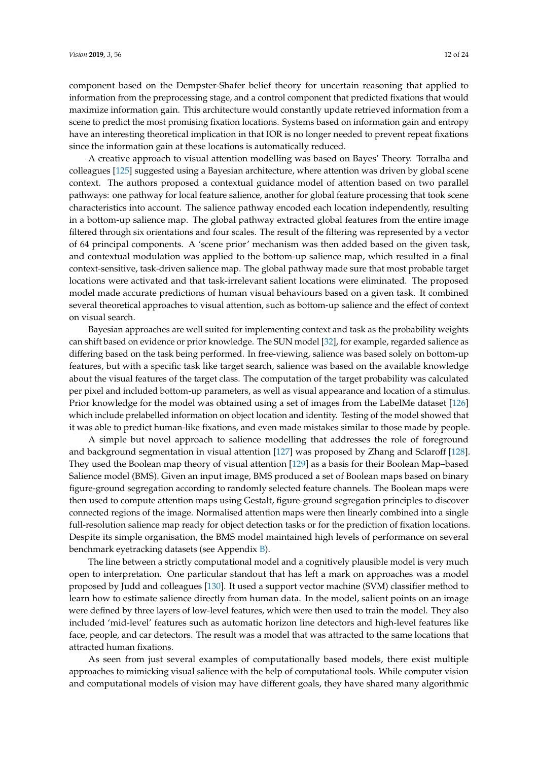component based on the Dempster-Shafer belief theory for uncertain reasoning that applied to information from the preprocessing stage, and a control component that predicted fixations that would maximize information gain. This architecture would constantly update retrieved information from a scene to predict the most promising fixation locations. Systems based on information gain and entropy have an interesting theoretical implication in that IOR is no longer needed to prevent repeat fixations since the information gain at these locations is automatically reduced.

A creative approach to visual attention modelling was based on Bayes' Theory. Torralba and colleagues [\[125\]](#page-21-1) suggested using a Bayesian architecture, where attention was driven by global scene context. The authors proposed a contextual guidance model of attention based on two parallel pathways: one pathway for local feature salience, another for global feature processing that took scene characteristics into account. The salience pathway encoded each location independently, resulting in a bottom-up salience map. The global pathway extracted global features from the entire image filtered through six orientations and four scales. The result of the filtering was represented by a vector of 64 principal components. A 'scene prior' mechanism was then added based on the given task, and contextual modulation was applied to the bottom-up salience map, which resulted in a final context-sensitive, task-driven salience map. The global pathway made sure that most probable target locations were activated and that task-irrelevant salient locations were eliminated. The proposed model made accurate predictions of human visual behaviours based on a given task. It combined several theoretical approaches to visual attention, such as bottom-up salience and the effect of context on visual search.

Bayesian approaches are well suited for implementing context and task as the probability weights can shift based on evidence or prior knowledge. The SUN model [\[32\]](#page-17-14), for example, regarded salience as differing based on the task being performed. In free-viewing, salience was based solely on bottom-up features, but with a specific task like target search, salience was based on the available knowledge about the visual features of the target class. The computation of the target probability was calculated per pixel and included bottom-up parameters, as well as visual appearance and location of a stimulus. Prior knowledge for the model was obtained using a set of images from the LabelMe dataset [\[126\]](#page-21-2) which include prelabelled information on object location and identity. Testing of the model showed that it was able to predict human-like fixations, and even made mistakes similar to those made by people.

A simple but novel approach to salience modelling that addresses the role of foreground and background segmentation in visual attention [\[127\]](#page-21-3) was proposed by Zhang and Sclaroff [\[128\]](#page-21-4). They used the Boolean map theory of visual attention [\[129\]](#page-21-5) as a basis for their Boolean Map–based Salience model (BMS). Given an input image, BMS produced a set of Boolean maps based on binary figure-ground segregation according to randomly selected feature channels. The Boolean maps were then used to compute attention maps using Gestalt, figure-ground segregation principles to discover connected regions of the image. Normalised attention maps were then linearly combined into a single full-resolution salience map ready for object detection tasks or for the prediction of fixation locations. Despite its simple organisation, the BMS model maintained high levels of performance on several benchmark eyetracking datasets (see Appendix [B\)](#page-16-17).

The line between a strictly computational model and a cognitively plausible model is very much open to interpretation. One particular standout that has left a mark on approaches was a model proposed by Judd and colleagues [\[130\]](#page-21-6). It used a support vector machine (SVM) classifier method to learn how to estimate salience directly from human data. In the model, salient points on an image were defined by three layers of low-level features, which were then used to train the model. They also included 'mid-level' features such as automatic horizon line detectors and high-level features like face, people, and car detectors. The result was a model that was attracted to the same locations that attracted human fixations.

As seen from just several examples of computationally based models, there exist multiple approaches to mimicking visual salience with the help of computational tools. While computer vision and computational models of vision may have different goals, they have shared many algorithmic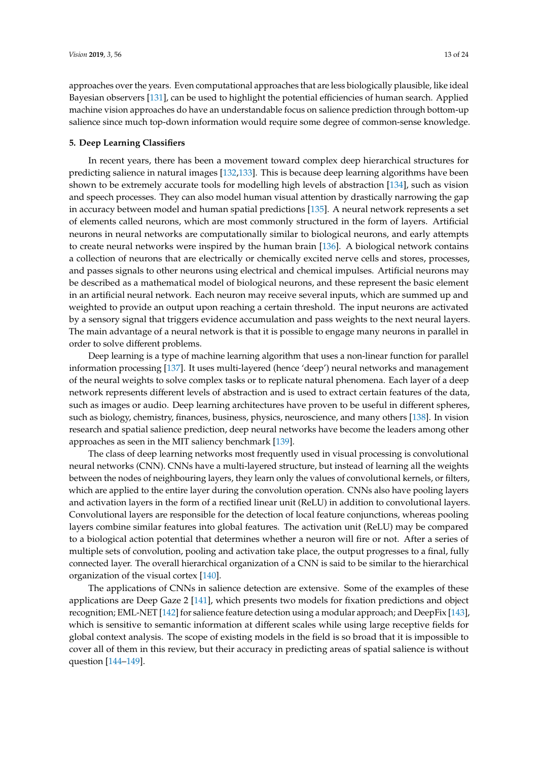approaches over the years. Even computational approaches that are less biologically plausible, like ideal Bayesian observers [\[131\]](#page-21-7), can be used to highlight the potential efficiencies of human search. Applied machine vision approaches do have an understandable focus on salience prediction through bottom-up salience since much top-down information would require some degree of common-sense knowledge.

#### <span id="page-12-0"></span>**5. Deep Learning Classifiers**

In recent years, there has been a movement toward complex deep hierarchical structures for predicting salience in natural images [\[132,](#page-21-8)[133\]](#page-21-9). This is because deep learning algorithms have been shown to be extremely accurate tools for modelling high levels of abstraction [\[134\]](#page-21-10), such as vision and speech processes. They can also model human visual attention by drastically narrowing the gap in accuracy between model and human spatial predictions [\[135\]](#page-21-11). A neural network represents a set of elements called neurons, which are most commonly structured in the form of layers. Artificial neurons in neural networks are computationally similar to biological neurons, and early attempts to create neural networks were inspired by the human brain [\[136\]](#page-21-12). A biological network contains a collection of neurons that are electrically or chemically excited nerve cells and stores, processes, and passes signals to other neurons using electrical and chemical impulses. Artificial neurons may be described as a mathematical model of biological neurons, and these represent the basic element in an artificial neural network. Each neuron may receive several inputs, which are summed up and weighted to provide an output upon reaching a certain threshold. The input neurons are activated by a sensory signal that triggers evidence accumulation and pass weights to the next neural layers. The main advantage of a neural network is that it is possible to engage many neurons in parallel in order to solve different problems.

Deep learning is a type of machine learning algorithm that uses a non-linear function for parallel information processing [\[137\]](#page-21-13). It uses multi-layered (hence 'deep') neural networks and management of the neural weights to solve complex tasks or to replicate natural phenomena. Each layer of a deep network represents different levels of abstraction and is used to extract certain features of the data, such as images or audio. Deep learning architectures have proven to be useful in different spheres, such as biology, chemistry, finances, business, physics, neuroscience, and many others [\[138\]](#page-21-14). In vision research and spatial salience prediction, deep neural networks have become the leaders among other approaches as seen in the MIT saliency benchmark [\[139\]](#page-21-15).

The class of deep learning networks most frequently used in visual processing is convolutional neural networks (CNN). CNNs have a multi-layered structure, but instead of learning all the weights between the nodes of neighbouring layers, they learn only the values of convolutional kernels, or filters, which are applied to the entire layer during the convolution operation. CNNs also have pooling layers and activation layers in the form of a rectified linear unit (ReLU) in addition to convolutional layers. Convolutional layers are responsible for the detection of local feature conjunctions, whereas pooling layers combine similar features into global features. The activation unit (ReLU) may be compared to a biological action potential that determines whether a neuron will fire or not. After a series of multiple sets of convolution, pooling and activation take place, the output progresses to a final, fully connected layer. The overall hierarchical organization of a CNN is said to be similar to the hierarchical organization of the visual cortex [\[140\]](#page-21-16).

The applications of CNNs in salience detection are extensive. Some of the examples of these applications are Deep Gaze 2 [\[141\]](#page-21-17), which presents two models for fixation predictions and object recognition; EML-NET [\[142\]](#page-21-18) for salience feature detection using a modular approach; and DeepFix [\[143\]](#page-21-19), which is sensitive to semantic information at different scales while using large receptive fields for global context analysis. The scope of existing models in the field is so broad that it is impossible to cover all of them in this review, but their accuracy in predicting areas of spatial salience is without question [\[144–](#page-21-20)[149\]](#page-22-0).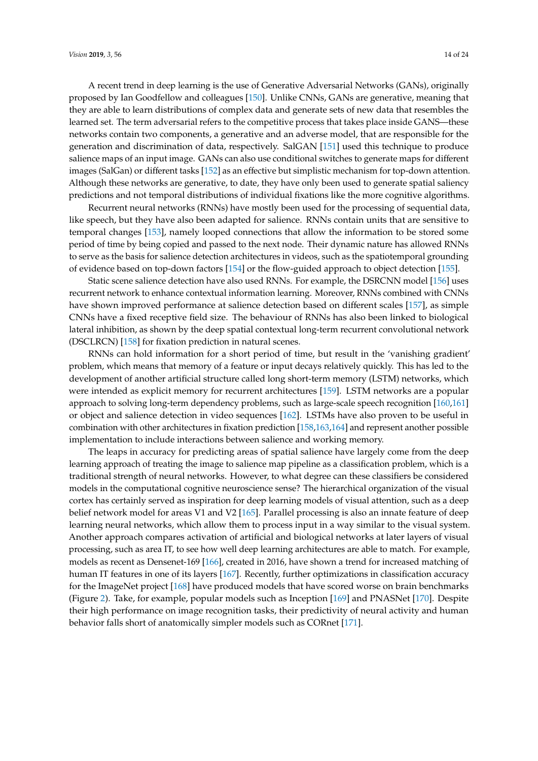A recent trend in deep learning is the use of Generative Adversarial Networks (GANs), originally proposed by Ian Goodfellow and colleagues [\[150\]](#page-22-1). Unlike CNNs, GANs are generative, meaning that they are able to learn distributions of complex data and generate sets of new data that resembles the learned set. The term adversarial refers to the competitive process that takes place inside GANS—these networks contain two components, a generative and an adverse model, that are responsible for the generation and discrimination of data, respectively. SalGAN [\[151\]](#page-22-2) used this technique to produce salience maps of an input image. GANs can also use conditional switches to generate maps for different images (SalGan) or different tasks [\[152\]](#page-22-3) as an effective but simplistic mechanism for top-down attention. Although these networks are generative, to date, they have only been used to generate spatial saliency predictions and not temporal distributions of individual fixations like the more cognitive algorithms.

Recurrent neural networks (RNNs) have mostly been used for the processing of sequential data, like speech, but they have also been adapted for salience. RNNs contain units that are sensitive to temporal changes [\[153\]](#page-22-4), namely looped connections that allow the information to be stored some period of time by being copied and passed to the next node. Their dynamic nature has allowed RNNs to serve as the basis for salience detection architectures in videos, such as the spatiotemporal grounding of evidence based on top-down factors [\[154\]](#page-22-5) or the flow-guided approach to object detection [\[155\]](#page-22-6).

Static scene salience detection have also used RNNs. For example, the DSRCNN model [\[156\]](#page-22-7) uses recurrent network to enhance contextual information learning. Moreover, RNNs combined with CNNs have shown improved performance at salience detection based on different scales [\[157\]](#page-22-8), as simple CNNs have a fixed receptive field size. The behaviour of RNNs has also been linked to biological lateral inhibition, as shown by the deep spatial contextual long-term recurrent convolutional network (DSCLRCN) [\[158\]](#page-22-9) for fixation prediction in natural scenes.

RNNs can hold information for a short period of time, but result in the 'vanishing gradient' problem, which means that memory of a feature or input decays relatively quickly. This has led to the development of another artificial structure called long short-term memory (LSTM) networks, which were intended as explicit memory for recurrent architectures [\[159\]](#page-22-10). LSTM networks are a popular approach to solving long-term dependency problems, such as large-scale speech recognition [\[160,](#page-22-11)[161\]](#page-22-12) or object and salience detection in video sequences [\[162\]](#page-22-13). LSTMs have also proven to be useful in combination with other architectures in fixation prediction [\[158](#page-22-9)[,163](#page-22-14)[,164\]](#page-22-15) and represent another possible implementation to include interactions between salience and working memory.

The leaps in accuracy for predicting areas of spatial salience have largely come from the deep learning approach of treating the image to salience map pipeline as a classification problem, which is a traditional strength of neural networks. However, to what degree can these classifiers be considered models in the computational cognitive neuroscience sense? The hierarchical organization of the visual cortex has certainly served as inspiration for deep learning models of visual attention, such as a deep belief network model for areas V1 and V2 [\[165\]](#page-22-16). Parallel processing is also an innate feature of deep learning neural networks, which allow them to process input in a way similar to the visual system. Another approach compares activation of artificial and biological networks at later layers of visual processing, such as area IT, to see how well deep learning architectures are able to match. For example, models as recent as Densenet-169 [\[166\]](#page-22-17), created in 2016, have shown a trend for increased matching of human IT features in one of its layers [\[167\]](#page-22-18). Recently, further optimizations in classification accuracy for the ImageNet project [\[168\]](#page-22-19) have produced models that have scored worse on brain benchmarks (Figure [2\)](#page-14-0). Take, for example, popular models such as Inception [\[169\]](#page-23-0) and PNASNet [\[170\]](#page-23-1). Despite their high performance on image recognition tasks, their predictivity of neural activity and human behavior falls short of anatomically simpler models such as CORnet [\[171\]](#page-23-2).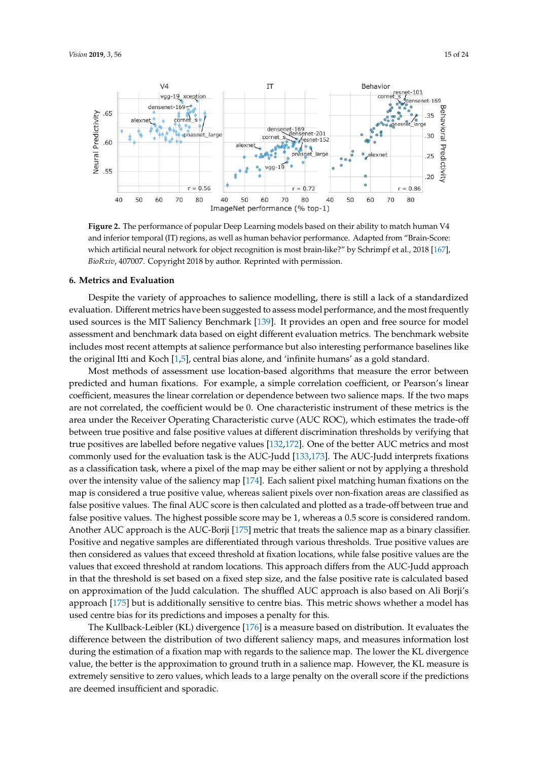<span id="page-14-0"></span>

and inferior temporal (IT) regions, as well as human behavior performance. Adapted from "Brain-Score: which artificial neural network for object recognition is most brain-like?" by Schrimpf et al., 2018 [\[167\]](#page-22-18), BioRxiv, 407007. Copyright 2018 by author. Reprinted with permission. **Figure 2.** The performance of popular Deep Learning models based on their ability to match human V4

# **6. Metrics and Evaluation.** *Biomagnetic 2018 by author.* **Reprinted with permission. Reprinted with permission. Reprinted with permission. Reprinted with permission. Reprinted with permission. Reprinted with permission.**

evaluation. Different metrics have been suggested to assess model performance, and the most frequently assessment and benchmark data based on eight different evaluation metrics. The benchmark website includes most recent attempts at salience performance but also interesting performance baselines like Despite the variety of approaches to salience modelling, there is still a lack of a standardized used sources is the MIT Saliency Benchmark [\[139\]](#page-21-15). It provides an open and free source for model the original Itti and Koch [\[1,](#page-16-0)[5\]](#page-16-4), central bias alone, and 'infinite humans' as a gold standard.

Most methods of assessment use location-based algorithms that measure the error between predicted and human fixations. For example, a simple correlation coefficient, or Pearson's linear coefficient, measures the linear correlation or dependence between two salience maps. If the two maps are not correlated, the coefficient would be 0. One characteristic instrument of these metrics is the area under the Receiver Operating Characteristic curve (AUC ROC), which estimates the trade-off between true positive and false positive values at different discrimination thresholds by verifying that true positives are labelled before negative values [\[132,](#page-21-8)[172\]](#page-23-3). One of the better AUC metrics and most commonly used for the evaluation task is the AUC-Judd [\[133](#page-21-9)[,173\]](#page-23-4). The AUC-Judd interprets fixations as a classification task, where a pixel of the map may be either salient or not by applying a threshold over the intensity value of the saliency map [\[174\]](#page-23-5). Each salient pixel matching human fixations on the map is considered a true positive value, whereas salient pixels over non-fixation areas are classified as false positive values. The final AUC score is then calculated and plotted as a trade-off between true and false positive values. The highest possible score may be 1, whereas a 0.5 score is considered random. Another AUC approach is the AUC-Borji [\[175\]](#page-23-6) metric that treats the salience map as a binary classifier. Positive and negative samples are differentiated through various thresholds. True positive values are then considered as values that exceed threshold at fixation locations, while false positive values are the values that exceed threshold at random locations. This approach differs from the AUC-Judd approach in that the threshold is set based on a fixed step size, and the false positive rate is calculated based on approximation of the Judd calculation. The shuffled AUC approach is also based on Ali Borji's approach [\[175\]](#page-23-6) but is additionally sensitive to centre bias. This metric shows whether a model has used centre bias for its predictions and imposes a penalty for this.

The Kullback-Leibler (KL) divergence [\[176\]](#page-23-7) is a measure based on distribution. It evaluates the difference between the distribution of two different saliency maps, and measures information lost during the estimation of a fixation map with regards to the salience map. The lower the KL divergence value, the better is the approximation to ground truth in a salience map. However, the KL measure is extremely sensitive to zero values, which leads to a large penalty on the overall score if the predictions are deemed insufficient and sporadic.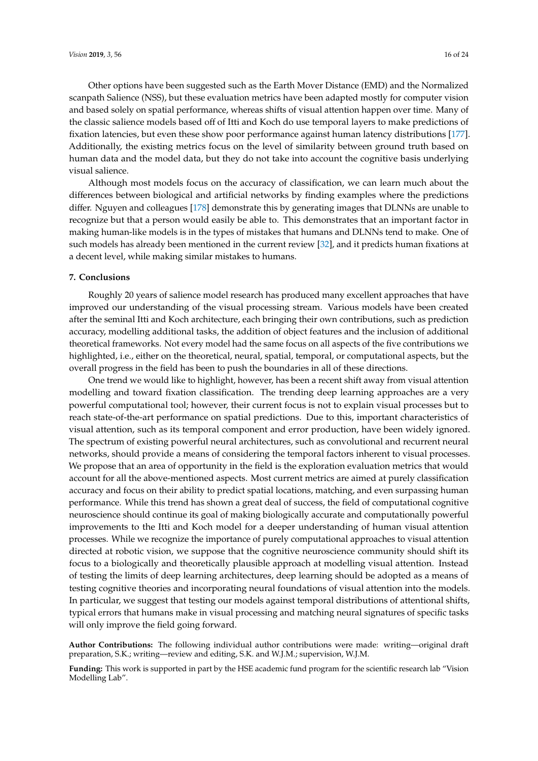Other options have been suggested such as the Earth Mover Distance (EMD) and the Normalized scanpath Salience (NSS), but these evaluation metrics have been adapted mostly for computer vision and based solely on spatial performance, whereas shifts of visual attention happen over time. Many of the classic salience models based off of Itti and Koch do use temporal layers to make predictions of fixation latencies, but even these show poor performance against human latency distributions [\[177\]](#page-23-8). Additionally, the existing metrics focus on the level of similarity between ground truth based on human data and the model data, but they do not take into account the cognitive basis underlying visual salience.

Although most models focus on the accuracy of classification, we can learn much about the differences between biological and artificial networks by finding examples where the predictions differ. Nguyen and colleagues [\[178\]](#page-23-9) demonstrate this by generating images that DLNNs are unable to recognize but that a person would easily be able to. This demonstrates that an important factor in making human-like models is in the types of mistakes that humans and DLNNs tend to make. One of such models has already been mentioned in the current review [\[32\]](#page-17-14), and it predicts human fixations at a decent level, while making similar mistakes to humans.

#### **7. Conclusions**

Roughly 20 years of salience model research has produced many excellent approaches that have improved our understanding of the visual processing stream. Various models have been created after the seminal Itti and Koch architecture, each bringing their own contributions, such as prediction accuracy, modelling additional tasks, the addition of object features and the inclusion of additional theoretical frameworks. Not every model had the same focus on all aspects of the five contributions we highlighted, i.e., either on the theoretical, neural, spatial, temporal, or computational aspects, but the overall progress in the field has been to push the boundaries in all of these directions.

One trend we would like to highlight, however, has been a recent shift away from visual attention modelling and toward fixation classification. The trending deep learning approaches are a very powerful computational tool; however, their current focus is not to explain visual processes but to reach state-of-the-art performance on spatial predictions. Due to this, important characteristics of visual attention, such as its temporal component and error production, have been widely ignored. The spectrum of existing powerful neural architectures, such as convolutional and recurrent neural networks, should provide a means of considering the temporal factors inherent to visual processes. We propose that an area of opportunity in the field is the exploration evaluation metrics that would account for all the above-mentioned aspects. Most current metrics are aimed at purely classification accuracy and focus on their ability to predict spatial locations, matching, and even surpassing human performance. While this trend has shown a great deal of success, the field of computational cognitive neuroscience should continue its goal of making biologically accurate and computationally powerful improvements to the Itti and Koch model for a deeper understanding of human visual attention processes. While we recognize the importance of purely computational approaches to visual attention directed at robotic vision, we suppose that the cognitive neuroscience community should shift its focus to a biologically and theoretically plausible approach at modelling visual attention. Instead of testing the limits of deep learning architectures, deep learning should be adopted as a means of testing cognitive theories and incorporating neural foundations of visual attention into the models. In particular, we suggest that testing our models against temporal distributions of attentional shifts, typical errors that humans make in visual processing and matching neural signatures of specific tasks will only improve the field going forward.

**Author Contributions:** The following individual author contributions were made: writing—original draft preparation, S.K.; writing—review and editing, S.K. and W.J.M.; supervision, W.J.M.

**Funding:** This work is supported in part by the HSE academic fund program for the scientific research lab "Vision Modelling Lab".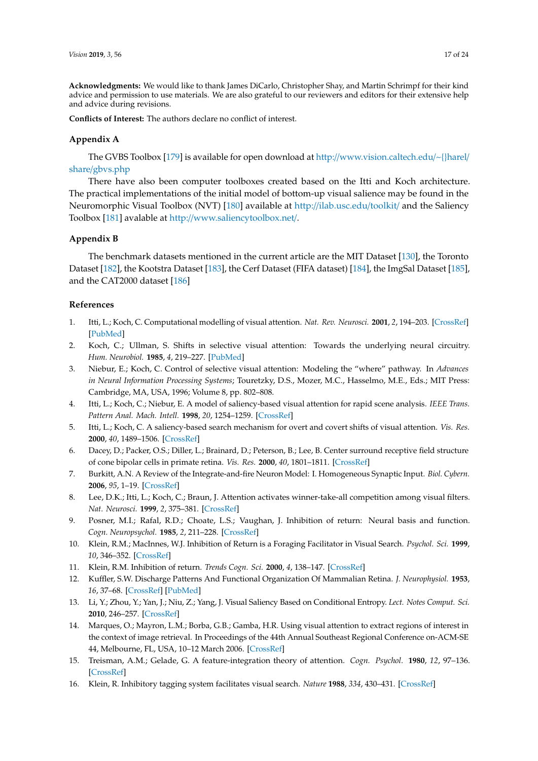**Acknowledgments:** We would like to thank James DiCarlo, Christopher Shay, and Martin Schrimpf for their kind advice and permission to use materials. We are also grateful to our reviewers and editors for their extensive help and advice during revisions.

**Conflicts of Interest:** The authors declare no conflict of interest.

# <span id="page-16-16"></span>**Appendix A**

The GVBS Toolbox [\[179\]](#page-23-10) is available for open download at http://[www.vision.caltech.edu](http://www.vision.caltech.edu/~{}harel/share/gbvs.php)/~{}harel/ share/[gbvs.php](http://www.vision.caltech.edu/~{}harel/share/gbvs.php)

There have also been computer toolboxes created based on the Itti and Koch architecture. The practical implementations of the initial model of bottom-up visual salience may be found in the Neuromorphic Visual Toolbox (NVT) [\[180\]](#page-23-11) available at http://[ilab.usc.edu](http://ilab.usc.edu/toolkit/)/toolkit/ and the Saliency Toolbox [\[181\]](#page-23-12) avalable at http://[www.saliencytoolbox.net](http://www.saliencytoolbox.net/)/.

## <span id="page-16-17"></span>**Appendix B**

The benchmark datasets mentioned in the current article are the MIT Dataset [\[130\]](#page-21-6), the Toronto Dataset [\[182\]](#page-23-13), the Kootstra Dataset [\[183\]](#page-23-14), the Cerf Dataset (FIFA dataset) [\[184\]](#page-23-15), the ImgSal Dataset [\[185\]](#page-23-16), and the CAT2000 dataset [\[186\]](#page-23-17)

# **References**

- <span id="page-16-0"></span>1. Itti, L.; Koch, C. Computational modelling of visual attention. *Nat. Rev. Neurosci.* **2001**, *2*, 194–203. [\[CrossRef\]](http://dx.doi.org/10.1038/35058500) [\[PubMed\]](http://www.ncbi.nlm.nih.gov/pubmed/11256080)
- <span id="page-16-1"></span>2. Koch, C.; Ullman, S. Shifts in selective visual attention: Towards the underlying neural circuitry. *Hum. Neurobiol.* **1985**, *4*, 219–227. [\[PubMed\]](http://www.ncbi.nlm.nih.gov/pubmed/3836989)
- <span id="page-16-2"></span>3. Niebur, E.; Koch, C. Control of selective visual attention: Modeling the "where" pathway. In *Advances in Neural Information Processing Systems*; Touretzky, D.S., Mozer, M.C., Hasselmo, M.E., Eds.; MIT Press: Cambridge, MA, USA, 1996; Volume 8, pp. 802–808.
- <span id="page-16-3"></span>4. Itti, L.; Koch, C.; Niebur, E. A model of saliency-based visual attention for rapid scene analysis. *IEEE Trans. Pattern Anal. Mach. Intell.* **1998**, *20*, 1254–1259. [\[CrossRef\]](http://dx.doi.org/10.1109/34.730558)
- <span id="page-16-4"></span>5. Itti, L.; Koch, C. A saliency-based search mechanism for overt and covert shifts of visual attention. *Vis. Res.* **2000**, *40*, 1489–1506. [\[CrossRef\]](http://dx.doi.org/10.1016/S0042-6989(99)00163-7)
- <span id="page-16-5"></span>6. Dacey, D.; Packer, O.S.; Diller, L.; Brainard, D.; Peterson, B.; Lee, B. Center surround receptive field structure of cone bipolar cells in primate retina. *Vis. Res.* **2000**, *40*, 1801–1811. [\[CrossRef\]](http://dx.doi.org/10.1016/S0042-6989(00)00039-0)
- <span id="page-16-6"></span>7. Burkitt, A.N. A Review of the Integrate-and-fire Neuron Model: I. Homogeneous Synaptic Input. *Biol. Cybern.* **2006**, *95*, 1–19. [\[CrossRef\]](http://dx.doi.org/10.1007/s00422-006-0068-6)
- <span id="page-16-7"></span>8. Lee, D.K.; Itti, L.; Koch, C.; Braun, J. Attention activates winner-take-all competition among visual filters. *Nat. Neurosci.* **1999**, *2*, 375–381. [\[CrossRef\]](http://dx.doi.org/10.1038/7286)
- <span id="page-16-8"></span>9. Posner, M.I.; Rafal, R.D.; Choate, L.S.; Vaughan, J. Inhibition of return: Neural basis and function. *Cogn. Neuropsychol.* **1985**, *2*, 211–228. [\[CrossRef\]](http://dx.doi.org/10.1080/02643298508252866)
- <span id="page-16-14"></span>10. Klein, R.M.; MacInnes, W.J. Inhibition of Return is a Foraging Facilitator in Visual Search. *Psychol. Sci.* **1999**, *10*, 346–352. [\[CrossRef\]](http://dx.doi.org/10.1111/1467-9280.00166)
- <span id="page-16-9"></span>11. Klein, R.M. Inhibition of return. *Trends Cogn. Sci.* **2000**, *4*, 138–147. [\[CrossRef\]](http://dx.doi.org/10.1016/S1364-6613(00)01452-2)
- <span id="page-16-10"></span>12. Kuffler, S.W. Discharge Patterns And Functional Organization Of Mammalian Retina. *J. Neurophysiol.* **1953**, *16*, 37–68. [\[CrossRef\]](http://dx.doi.org/10.1152/jn.1953.16.1.37) [\[PubMed\]](http://www.ncbi.nlm.nih.gov/pubmed/13035466)
- <span id="page-16-11"></span>13. Li, Y.; Zhou, Y.; Yan, J.; Niu, Z.; Yang, J. Visual Saliency Based on Conditional Entropy. *Lect. Notes Comput. Sci.* **2010**, 246–257. [\[CrossRef\]](http://dx.doi.org/10.1007/978-3-642-12307-8_23)
- <span id="page-16-12"></span>14. Marques, O.; Mayron, L.M.; Borba, G.B.; Gamba, H.R. Using visual attention to extract regions of interest in the context of image retrieval. In Proceedings of the 44th Annual Southeast Regional Conference on-ACM-SE 44, Melbourne, FL, USA, 10–12 March 2006. [\[CrossRef\]](http://dx.doi.org/10.1145/1185448.1185588)
- <span id="page-16-13"></span>15. Treisman, A.M.; Gelade, G. A feature-integration theory of attention. *Cogn. Psychol.* **1980**, *12*, 97–136. [\[CrossRef\]](http://dx.doi.org/10.1016/0010-0285(80)90005-5)
- <span id="page-16-15"></span>16. Klein, R. Inhibitory tagging system facilitates visual search. *Nature* **1988**, *334*, 430–431. [\[CrossRef\]](http://dx.doi.org/10.1038/334430a0)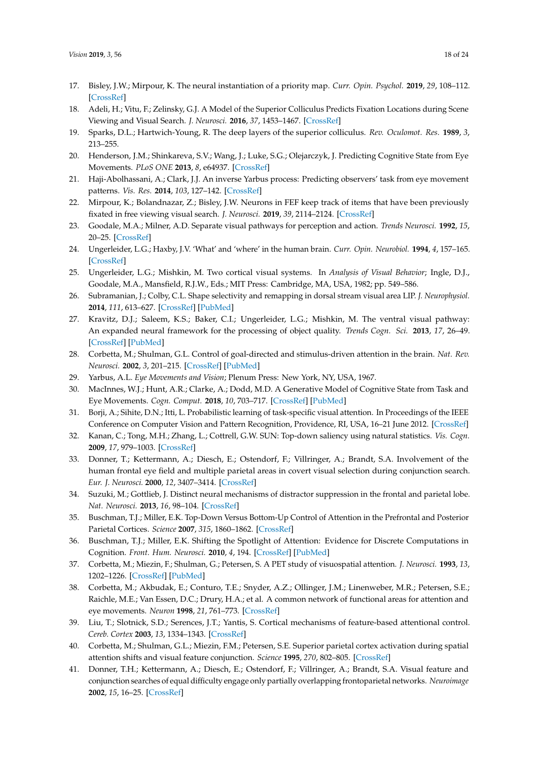- <span id="page-17-0"></span>17. Bisley, J.W.; Mirpour, K. The neural instantiation of a priority map. *Curr. Opin. Psychol.* **2019**, *29*, 108–112. [\[CrossRef\]](http://dx.doi.org/10.1016/j.copsyc.2019.01.002)
- <span id="page-17-1"></span>18. Adeli, H.; Vitu, F.; Zelinsky, G.J. A Model of the Superior Colliculus Predicts Fixation Locations during Scene Viewing and Visual Search. *J. Neurosci.* **2016**, *37*, 1453–1467. [\[CrossRef\]](http://dx.doi.org/10.1523/JNEUROSCI.0825-16.2016)
- <span id="page-17-2"></span>19. Sparks, D.L.; Hartwich-Young, R. The deep layers of the superior colliculus. *Rev. Oculomot. Res.* **1989**, *3*, 213–255.
- <span id="page-17-3"></span>20. Henderson, J.M.; Shinkareva, S.V.; Wang, J.; Luke, S.G.; Olejarczyk, J. Predicting Cognitive State from Eye Movements. *PLoS ONE* **2013**, *8*, e64937. [\[CrossRef\]](http://dx.doi.org/10.1371/journal.pone.0064937)
- <span id="page-17-4"></span>21. Haji-Abolhassani, A.; Clark, J.J. An inverse Yarbus process: Predicting observers' task from eye movement patterns. *Vis. Res.* **2014**, *103*, 127–142. [\[CrossRef\]](http://dx.doi.org/10.1016/j.visres.2014.08.014)
- <span id="page-17-5"></span>22. Mirpour, K.; Bolandnazar, Z.; Bisley, J.W. Neurons in FEF keep track of items that have been previously fixated in free viewing visual search. *J. Neurosci.* **2019**, *39*, 2114–2124. [\[CrossRef\]](http://dx.doi.org/10.1523/JNEUROSCI.1767-18.2018)
- <span id="page-17-6"></span>23. Goodale, M.A.; Milner, A.D. Separate visual pathways for perception and action. *Trends Neurosci.* **1992**, *15*, 20–25. [\[CrossRef\]](http://dx.doi.org/10.1016/0166-2236(92)90344-8)
- <span id="page-17-22"></span>24. Ungerleider, L.G.; Haxby, J.V. 'What' and 'where' in the human brain. *Curr. Opin. Neurobiol.* **1994**, *4*, 157–165. [\[CrossRef\]](http://dx.doi.org/10.1016/0959-4388(94)90066-3)
- <span id="page-17-7"></span>25. Ungerleider, L.G.; Mishkin, M. Two cortical visual systems. In *Analysis of Visual Behavior*; Ingle, D.J., Goodale, M.A., Mansfield, R.J.W., Eds.; MIT Press: Cambridge, MA, USA, 1982; pp. 549–586.
- <span id="page-17-8"></span>26. Subramanian, J.; Colby, C.L. Shape selectivity and remapping in dorsal stream visual area LIP. *J. Neurophysiol.* **2014**, *111*, 613–627. [\[CrossRef\]](http://dx.doi.org/10.1152/jn.00841.2011) [\[PubMed\]](http://www.ncbi.nlm.nih.gov/pubmed/24225538)
- <span id="page-17-9"></span>27. Kravitz, D.J.; Saleem, K.S.; Baker, C.I.; Ungerleider, L.G.; Mishkin, M. The ventral visual pathway: An expanded neural framework for the processing of object quality. *Trends Cogn. Sci.* **2013**, *17*, 26–49. [\[CrossRef\]](http://dx.doi.org/10.1016/j.tics.2012.10.011) [\[PubMed\]](http://www.ncbi.nlm.nih.gov/pubmed/23265839)
- <span id="page-17-10"></span>28. Corbetta, M.; Shulman, G.L. Control of goal-directed and stimulus-driven attention in the brain. *Nat. Rev. Neurosci.* **2002**, *3*, 201–215. [\[CrossRef\]](http://dx.doi.org/10.1038/nrn755) [\[PubMed\]](http://www.ncbi.nlm.nih.gov/pubmed/11994752)
- <span id="page-17-11"></span>29. Yarbus, A.L. *Eye Movements and Vision*; Plenum Press: New York, NY, USA, 1967.
- <span id="page-17-12"></span>30. MacInnes, W.J.; Hunt, A.R.; Clarke, A.; Dodd, M.D. A Generative Model of Cognitive State from Task and Eye Movements. *Cogn. Comput.* **2018**, *10*, 703–717. [\[CrossRef\]](http://dx.doi.org/10.1007/s12559-018-9558-9) [\[PubMed\]](http://www.ncbi.nlm.nih.gov/pubmed/30740186)
- <span id="page-17-13"></span>31. Borji, A.; Sihite, D.N.; Itti, L. Probabilistic learning of task-specific visual attention. In Proceedings of the IEEE Conference on Computer Vision and Pattern Recognition, Providence, RI, USA, 16–21 June 2012. [\[CrossRef\]](http://dx.doi.org/10.1109/cvpr.2012.6247710)
- <span id="page-17-14"></span>32. Kanan, C.; Tong, M.H.; Zhang, L.; Cottrell, G.W. SUN: Top-down saliency using natural statistics. *Vis. Cogn.* **2009**, *17*, 979–1003. [\[CrossRef\]](http://dx.doi.org/10.1080/13506280902771138)
- <span id="page-17-15"></span>33. Donner, T.; Kettermann, A.; Diesch, E.; Ostendorf, F.; Villringer, A.; Brandt, S.A. Involvement of the human frontal eye field and multiple parietal areas in covert visual selection during conjunction search. *Eur. J. Neurosci.* **2000**, *12*, 3407–3414. [\[CrossRef\]](http://dx.doi.org/10.1046/j.1460-9568.2000.00223.x)
- <span id="page-17-16"></span>34. Suzuki, M.; Gottlieb, J. Distinct neural mechanisms of distractor suppression in the frontal and parietal lobe. *Nat. Neurosci.* **2013**, *16*, 98–104. [\[CrossRef\]](http://dx.doi.org/10.1038/nn.3282)
- <span id="page-17-17"></span>35. Buschman, T.J.; Miller, E.K. Top-Down Versus Bottom-Up Control of Attention in the Prefrontal and Posterior Parietal Cortices. *Science* **2007**, *315*, 1860–1862. [\[CrossRef\]](http://dx.doi.org/10.1126/science.1138071)
- <span id="page-17-18"></span>36. Buschman, T.J.; Miller, E.K. Shifting the Spotlight of Attention: Evidence for Discrete Computations in Cognition. *Front. Hum. Neurosci.* **2010**, *4*, 194. [\[CrossRef\]](http://dx.doi.org/10.3389/fnhum.2010.00194) [\[PubMed\]](http://www.ncbi.nlm.nih.gov/pubmed/21119775)
- 37. Corbetta, M.; Miezin, F.; Shulman, G.; Petersen, S. A PET study of visuospatial attention. *J. Neurosci.* **1993**, *13*, 1202–1226. [\[CrossRef\]](http://dx.doi.org/10.1523/JNEUROSCI.13-03-01202.1993) [\[PubMed\]](http://www.ncbi.nlm.nih.gov/pubmed/8441008)
- <span id="page-17-19"></span>38. Corbetta, M.; Akbudak, E.; Conturo, T.E.; Snyder, A.Z.; Ollinger, J.M.; Linenweber, M.R.; Petersen, S.E.; Raichle, M.E.; Van Essen, D.C.; Drury, H.A.; et al. A common network of functional areas for attention and eye movements. *Neuron* **1998**, *21*, 761–773. [\[CrossRef\]](http://dx.doi.org/10.1016/S0896-6273(00)80593-0)
- <span id="page-17-20"></span>39. Liu, T.; Slotnick, S.D.; Serences, J.T.; Yantis, S. Cortical mechanisms of feature-based attentional control. *Cereb. Cortex* **2003**, *13*, 1334–1343. [\[CrossRef\]](http://dx.doi.org/10.1093/cercor/bhg080)
- <span id="page-17-21"></span>40. Corbetta, M.; Shulman, G.L.; Miezin, F.M.; Petersen, S.E. Superior parietal cortex activation during spatial attention shifts and visual feature conjunction. *Science* **1995**, *270*, 802–805. [\[CrossRef\]](http://dx.doi.org/10.1126/science.270.5237.802)
- 41. Donner, T.H.; Kettermann, A.; Diesch, E.; Ostendorf, F.; Villringer, A.; Brandt, S.A. Visual feature and conjunction searches of equal difficulty engage only partially overlapping frontoparietal networks. *Neuroimage* **2002**, *15*, 16–25. [\[CrossRef\]](http://dx.doi.org/10.1006/nimg.2001.0951)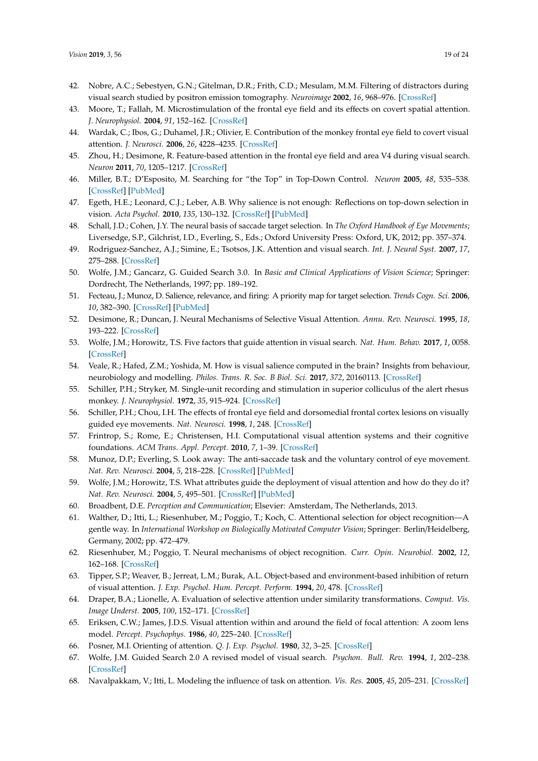- <span id="page-18-0"></span>42. Nobre, A.C.; Sebestyen, G.N.; Gitelman, D.R.; Frith, C.D.; Mesulam, M.M. Filtering of distractors during visual search studied by positron emission tomography. *Neuroimage* **2002**, *16*, 968–976. [\[CrossRef\]](http://dx.doi.org/10.1006/nimg.2002.1137)
- <span id="page-18-1"></span>43. Moore, T.; Fallah, M. Microstimulation of the frontal eye field and its effects on covert spatial attention. *J. Neurophysiol.* **2004**, *91*, 152–162. [\[CrossRef\]](http://dx.doi.org/10.1152/jn.00741.2002)
- <span id="page-18-2"></span>44. Wardak, C.; Ibos, G.; Duhamel, J.R.; Olivier, E. Contribution of the monkey frontal eye field to covert visual attention. *J. Neurosci.* **2006**, *26*, 4228–4235. [\[CrossRef\]](http://dx.doi.org/10.1523/JNEUROSCI.3336-05.2006)
- <span id="page-18-3"></span>45. Zhou, H.; Desimone, R. Feature-based attention in the frontal eye field and area V4 during visual search. *Neuron* **2011**, *70*, 1205–1217. [\[CrossRef\]](http://dx.doi.org/10.1016/j.neuron.2011.04.032)
- <span id="page-18-4"></span>46. Miller, B.T.; D'Esposito, M. Searching for "the Top" in Top-Down Control. *Neuron* **2005**, *48*, 535–538. [\[CrossRef\]](http://dx.doi.org/10.1016/j.neuron.2005.11.002) [\[PubMed\]](http://www.ncbi.nlm.nih.gov/pubmed/16301170)
- <span id="page-18-5"></span>47. Egeth, H.E.; Leonard, C.J.; Leber, A.B. Why salience is not enough: Reflections on top-down selection in vision. *Acta Psychol.* **2010**, *135*, 130–132. [\[CrossRef\]](http://dx.doi.org/10.1016/j.actpsy.2010.05.012) [\[PubMed\]](http://www.ncbi.nlm.nih.gov/pubmed/20580341)
- <span id="page-18-6"></span>48. Schall, J.D.; Cohen, J.Y. The neural basis of saccade target selection. In *The Oxford Handbook of Eye Movements*; Liversedge, S.P., Gilchrist, I.D., Everling, S., Eds.; Oxford University Press: Oxford, UK, 2012; pp. 357–374.
- <span id="page-18-7"></span>49. Rodriguez-Sanchez, A.J.; Simine, E.; Tsotsos, J.K. Attention and visual search. *Int. J. Neural Syst.* **2007**, *17*, 275–288. [\[CrossRef\]](http://dx.doi.org/10.1142/S0129065707001135)
- <span id="page-18-24"></span>50. Wolfe, J.M.; Gancarz, G. Guided Search 3.0. In *Basic and Clinical Applications of Vision Science*; Springer: Dordrecht, The Netherlands, 1997; pp. 189–192.
- 51. Fecteau, J.; Munoz, D. Salience, relevance, and firing: A priority map for target selection. *Trends Cogn. Sci.* **2006**, *10*, 382–390. [\[CrossRef\]](http://dx.doi.org/10.1016/j.tics.2006.06.011) [\[PubMed\]](http://www.ncbi.nlm.nih.gov/pubmed/16843702)
- <span id="page-18-8"></span>52. Desimone, R.; Duncan, J. Neural Mechanisms of Selective Visual Attention. *Annu. Rev. Neurosci.* **1995**, *18*, 193–222. [\[CrossRef\]](http://dx.doi.org/10.1146/annurev.ne.18.030195.001205)
- <span id="page-18-9"></span>53. Wolfe, J.M.; Horowitz, T.S. Five factors that guide attention in visual search. *Nat. Hum. Behav.* **2017**, *1*, 0058. [\[CrossRef\]](http://dx.doi.org/10.1038/s41562-017-0058)
- <span id="page-18-10"></span>54. Veale, R.; Hafed, Z.M.; Yoshida, M. How is visual salience computed in the brain? Insights from behaviour, neurobiology and modelling. *Philos. Trans. R. Soc. B Biol. Sci.* **2017**, *372*, 20160113. [\[CrossRef\]](http://dx.doi.org/10.1098/rstb.2016.0113)
- <span id="page-18-12"></span>55. Schiller, P.H.; Stryker, M. Single-unit recording and stimulation in superior colliculus of the alert rhesus monkey. *J. Neurophysiol.* **1972**, *35*, 915–924. [\[CrossRef\]](http://dx.doi.org/10.1152/jn.1972.35.6.915)
- 56. Schiller, P.H.; Chou, I.H. The effects of frontal eye field and dorsomedial frontal cortex lesions on visually guided eye movements. *Nat. Neurosci.* **1998**, *1*, 248. [\[CrossRef\]](http://dx.doi.org/10.1038/693)
- <span id="page-18-11"></span>57. Frintrop, S.; Rome, E.; Christensen, H.I. Computational visual attention systems and their cognitive foundations. *ACM Trans. Appl. Percept.* **2010**, *7*, 1–39. [\[CrossRef\]](http://dx.doi.org/10.1145/1658349.1658355)
- <span id="page-18-13"></span>58. Munoz, D.P.; Everling, S. Look away: The anti-saccade task and the voluntary control of eye movement. *Nat. Rev. Neurosci.* **2004**, *5*, 218–228. [\[CrossRef\]](http://dx.doi.org/10.1038/nrn1345) [\[PubMed\]](http://www.ncbi.nlm.nih.gov/pubmed/14976521)
- <span id="page-18-14"></span>59. Wolfe, J.M.; Horowitz, T.S. What attributes guide the deployment of visual attention and how do they do it? *Nat. Rev. Neurosci.* **2004**, *5*, 495–501. [\[CrossRef\]](http://dx.doi.org/10.1038/nrn1411) [\[PubMed\]](http://www.ncbi.nlm.nih.gov/pubmed/15152199)
- <span id="page-18-15"></span>60. Broadbent, D.E. *Perception and Communication*; Elsevier: Amsterdam, The Netherlands, 2013.
- <span id="page-18-16"></span>61. Walther, D.; Itti, L.; Riesenhuber, M.; Poggio, T.; Koch, C. Attentional selection for object recognition—A gentle way. In *International Workshop on Biologically Motivated Computer Vision*; Springer: Berlin/Heidelberg, Germany, 2002; pp. 472–479.
- <span id="page-18-17"></span>62. Riesenhuber, M.; Poggio, T. Neural mechanisms of object recognition. *Curr. Opin. Neurobiol.* **2002**, *12*, 162–168. [\[CrossRef\]](http://dx.doi.org/10.1016/S0959-4388(02)00304-5)
- <span id="page-18-18"></span>63. Tipper, S.P.; Weaver, B.; Jerreat, L.M.; Burak, A.L. Object-based and environment-based inhibition of return of visual attention. *J. Exp. Psychol. Hum. Percept. Perform.* **1994**, *20*, 478. [\[CrossRef\]](http://dx.doi.org/10.1037/0096-1523.20.3.478)
- <span id="page-18-19"></span>64. Draper, B.A.; Lionelle, A. Evaluation of selective attention under similarity transformations. *Comput. Vis. Image Underst.* **2005**, *100*, 152–171. [\[CrossRef\]](http://dx.doi.org/10.1016/j.cviu.2004.08.006)
- <span id="page-18-20"></span>65. Eriksen, C.W.; James, J.D.S. Visual attention within and around the field of focal attention: A zoom lens model. *Percept. Psychophys.* **1986**, *40*, 225–240. [\[CrossRef\]](http://dx.doi.org/10.3758/BF03211502)
- <span id="page-18-21"></span>66. Posner, M.I. Orienting of attention. *Q. J. Exp. Psychol.* **1980**, *32*, 3–25. [\[CrossRef\]](http://dx.doi.org/10.1080/00335558008248231)
- <span id="page-18-22"></span>67. Wolfe, J.M. Guided Search 2.0 A revised model of visual search. *Psychon. Bull. Rev.* **1994**, *1*, 202–238. [\[CrossRef\]](http://dx.doi.org/10.3758/BF03200774)
- <span id="page-18-23"></span>68. Navalpakkam, V.; Itti, L. Modeling the influence of task on attention. *Vis. Res.* **2005**, *45*, 205–231. [\[CrossRef\]](http://dx.doi.org/10.1016/j.visres.2004.07.042)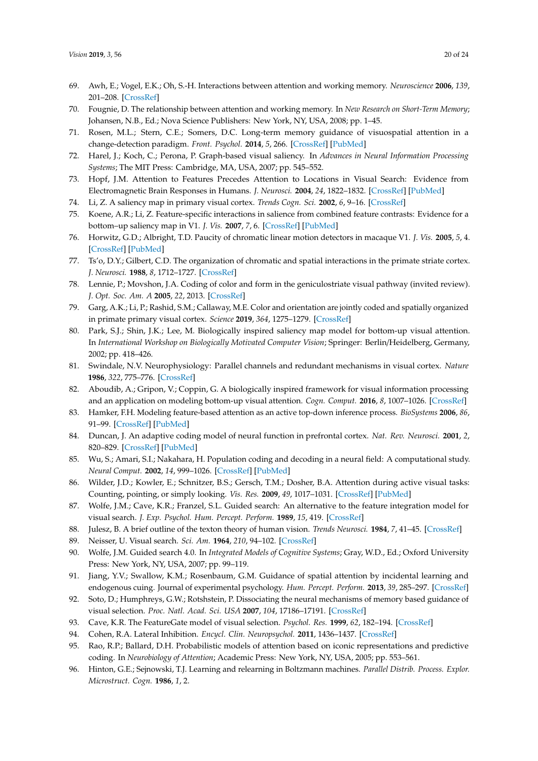- <span id="page-19-0"></span>69. Awh, E.; Vogel, E.K.; Oh, S.-H. Interactions between attention and working memory. *Neuroscience* **2006**, *139*, 201–208. [\[CrossRef\]](http://dx.doi.org/10.1016/j.neuroscience.2005.08.023)
- <span id="page-19-1"></span>70. Fougnie, D. The relationship between attention and working memory. In *New Research on Short-Term Memory*; Johansen, N.B., Ed.; Nova Science Publishers: New York, NY, USA, 2008; pp. 1–45.
- <span id="page-19-2"></span>71. Rosen, M.L.; Stern, C.E.; Somers, D.C. Long-term memory guidance of visuospatial attention in a change-detection paradigm. *Front. Psychol.* **2014**, *5*, 266. [\[CrossRef\]](http://dx.doi.org/10.3389/fpsyg.2014.00266) [\[PubMed\]](http://www.ncbi.nlm.nih.gov/pubmed/24744744)
- <span id="page-19-3"></span>72. Harel, J.; Koch, C.; Perona, P. Graph-based visual saliency. In *Advances in Neural Information Processing Systems*; The MIT Press: Cambridge, MA, USA, 2007; pp. 545–552.
- <span id="page-19-4"></span>73. Hopf, J.M. Attention to Features Precedes Attention to Locations in Visual Search: Evidence from Electromagnetic Brain Responses in Humans. *J. Neurosci.* **2004**, *24*, 1822–1832. [\[CrossRef\]](http://dx.doi.org/10.1523/JNEUROSCI.3564-03.2004) [\[PubMed\]](http://www.ncbi.nlm.nih.gov/pubmed/14985422)
- <span id="page-19-5"></span>74. Li, Z. A saliency map in primary visual cortex. *Trends Cogn. Sci.* **2002**, *6*, 9–16. [\[CrossRef\]](http://dx.doi.org/10.1016/S1364-6613(00)01817-9)
- <span id="page-19-6"></span>75. Koene, A.R.; Li, Z. Feature-specific interactions in salience from combined feature contrasts: Evidence for a bottom–up saliency map in V1. *J. Vis.* **2007**, *7*, 6. [\[CrossRef\]](http://dx.doi.org/10.1167/7.7.6) [\[PubMed\]](http://www.ncbi.nlm.nih.gov/pubmed/17685802)
- <span id="page-19-7"></span>76. Horwitz, G.D.; Albright, T.D. Paucity of chromatic linear motion detectors in macaque V1. *J. Vis.* **2005**, *5*, 4. [\[CrossRef\]](http://dx.doi.org/10.1167/5.6.4) [\[PubMed\]](http://www.ncbi.nlm.nih.gov/pubmed/16097865)
- <span id="page-19-8"></span>77. Ts'o, D.Y.; Gilbert, C.D. The organization of chromatic and spatial interactions in the primate striate cortex. *J. Neurosci.* **1988**, *8*, 1712–1727. [\[CrossRef\]](http://dx.doi.org/10.1523/JNEUROSCI.08-05-01712.1988)
- <span id="page-19-9"></span>78. Lennie, P.; Movshon, J.A. Coding of color and form in the geniculostriate visual pathway (invited review). *J. Opt. Soc. Am. A* **2005**, *22*, 2013. [\[CrossRef\]](http://dx.doi.org/10.1364/JOSAA.22.002013)
- <span id="page-19-10"></span>79. Garg, A.K.; Li, P.; Rashid, S.M.; Callaway, M.E. Color and orientation are jointly coded and spatially organized in primate primary visual cortex. *Science* **2019**, *364*, 1275–1279. [\[CrossRef\]](http://dx.doi.org/10.1126/science.aaw5868)
- <span id="page-19-11"></span>80. Park, S.J.; Shin, J.K.; Lee, M. Biologically inspired saliency map model for bottom-up visual attention. In *International Workshop on Biologically Motivated Computer Vision*; Springer: Berlin/Heidelberg, Germany, 2002; pp. 418–426.
- <span id="page-19-12"></span>81. Swindale, N.V. Neurophysiology: Parallel channels and redundant mechanisms in visual cortex. *Nature* **1986**, *322*, 775–776. [\[CrossRef\]](http://dx.doi.org/10.1038/322775a0)
- <span id="page-19-13"></span>82. Aboudib, A.; Gripon, V.; Coppin, G. A biologically inspired framework for visual information processing and an application on modeling bottom-up visual attention. *Cogn. Comput.* **2016**, *8*, 1007–1026. [\[CrossRef\]](http://dx.doi.org/10.1007/s12559-016-9430-8)
- <span id="page-19-14"></span>83. Hamker, F.H. Modeling feature-based attention as an active top-down inference process. *BioSystems* **2006**, *86*, 91–99. [\[CrossRef\]](http://dx.doi.org/10.1016/j.biosystems.2006.03.010) [\[PubMed\]](http://www.ncbi.nlm.nih.gov/pubmed/16843589)
- <span id="page-19-15"></span>84. Duncan, J. An adaptive coding model of neural function in prefrontal cortex. *Nat. Rev. Neurosci.* **2001**, *2*, 820–829. [\[CrossRef\]](http://dx.doi.org/10.1038/35097575) [\[PubMed\]](http://www.ncbi.nlm.nih.gov/pubmed/11715058)
- <span id="page-19-16"></span>85. Wu, S.; Amari, S.I.; Nakahara, H. Population coding and decoding in a neural field: A computational study. *Neural Comput.* **2002**, *14*, 999–1026. [\[CrossRef\]](http://dx.doi.org/10.1162/089976602753633367) [\[PubMed\]](http://www.ncbi.nlm.nih.gov/pubmed/11972905)
- <span id="page-19-17"></span>86. Wilder, J.D.; Kowler, E.; Schnitzer, B.S.; Gersch, T.M.; Dosher, B.A. Attention during active visual tasks: Counting, pointing, or simply looking. *Vis. Res.* **2009**, *49*, 1017–1031. [\[CrossRef\]](http://dx.doi.org/10.1016/j.visres.2008.04.032) [\[PubMed\]](http://www.ncbi.nlm.nih.gov/pubmed/18649913)
- <span id="page-19-18"></span>87. Wolfe, J.M.; Cave, K.R.; Franzel, S.L. Guided search: An alternative to the feature integration model for visual search. *J. Exp. Psychol. Hum. Percept. Perform.* **1989**, *15*, 419. [\[CrossRef\]](http://dx.doi.org/10.1037/0096-1523.15.3.419)
- <span id="page-19-19"></span>88. Julesz, B. A brief outline of the texton theory of human vision. *Trends Neurosci.* **1984**, *7*, 41–45. [\[CrossRef\]](http://dx.doi.org/10.1016/S0166-2236(84)80275-1)
- <span id="page-19-20"></span>89. Neisser, U. Visual search. *Sci. Am.* **1964**, *210*, 94–102. [\[CrossRef\]](http://dx.doi.org/10.1038/scientificamerican0664-94)
- <span id="page-19-21"></span>90. Wolfe, J.M. Guided search 4.0. In *Integrated Models of Cognitive Systems*; Gray, W.D., Ed.; Oxford University Press: New York, NY, USA, 2007; pp. 99–119.
- <span id="page-19-22"></span>91. Jiang, Y.V.; Swallow, K.M.; Rosenbaum, G.M. Guidance of spatial attention by incidental learning and endogenous cuing. Journal of experimental psychology. *Hum. Percept. Perform.* **2013**, *39*, 285–297. [\[CrossRef\]](http://dx.doi.org/10.1037/a0028022)
- <span id="page-19-23"></span>92. Soto, D.; Humphreys, G.W.; Rotshstein, P. Dissociating the neural mechanisms of memory based guidance of visual selection. *Proc. Natl. Acad. Sci. USA* **2007**, *104*, 17186–17191. [\[CrossRef\]](http://dx.doi.org/10.1073/pnas.0703706104)
- <span id="page-19-24"></span>93. Cave, K.R. The FeatureGate model of visual selection. *Psychol. Res.* **1999**, *62*, 182–194. [\[CrossRef\]](http://dx.doi.org/10.1007/s004260050050)
- <span id="page-19-25"></span>94. Cohen, R.A. Lateral Inhibition. *Encycl. Clin. Neuropsychol.* **2011**, 1436–1437. [\[CrossRef\]](http://dx.doi.org/10.1007/978-0-387-79948-3_1379)
- <span id="page-19-26"></span>95. Rao, R.P.; Ballard, D.H. Probabilistic models of attention based on iconic representations and predictive coding. In *Neurobiology of Attention*; Academic Press: New York, NY, USA, 2005; pp. 553–561.
- <span id="page-19-27"></span>96. Hinton, G.E.; Sejnowski, T.J. Learning and relearning in Boltzmann machines. *Parallel Distrib. Process. Explor. Microstruct. Cogn.* **1986**, *1*, 2.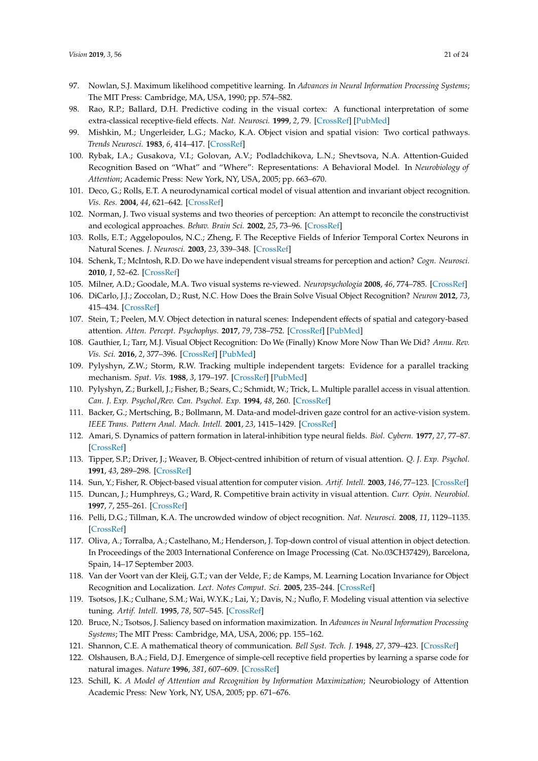- <span id="page-20-0"></span>97. Nowlan, S.J. Maximum likelihood competitive learning. In *Advances in Neural Information Processing Systems*; The MIT Press: Cambridge, MA, USA, 1990; pp. 574–582.
- <span id="page-20-1"></span>98. Rao, R.P.; Ballard, D.H. Predictive coding in the visual cortex: A functional interpretation of some extra-classical receptive-field effects. *Nat. Neurosci.* **1999**, *2*, 79. [\[CrossRef\]](http://dx.doi.org/10.1038/4580) [\[PubMed\]](http://www.ncbi.nlm.nih.gov/pubmed/10195184)
- <span id="page-20-2"></span>99. Mishkin, M.; Ungerleider, L.G.; Macko, K.A. Object vision and spatial vision: Two cortical pathways. *Trends Neurosci.* **1983**, *6*, 414–417. [\[CrossRef\]](http://dx.doi.org/10.1016/0166-2236(83)90190-X)
- <span id="page-20-3"></span>100. Rybak, I.A.; Gusakova, V.I.; Golovan, A.V.; Podladchikova, L.N.; Shevtsova, N.A. Attention-Guided Recognition Based on "What" and "Where": Representations: A Behavioral Model. In *Neurobiology of Attention*; Academic Press: New York, NY, USA, 2005; pp. 663–670.
- <span id="page-20-4"></span>101. Deco, G.; Rolls, E.T. A neurodynamical cortical model of visual attention and invariant object recognition. *Vis. Res.* **2004**, *44*, 621–642. [\[CrossRef\]](http://dx.doi.org/10.1016/j.visres.2003.09.037)
- <span id="page-20-5"></span>102. Norman, J. Two visual systems and two theories of perception: An attempt to reconcile the constructivist and ecological approaches. *Behav. Brain Sci.* **2002**, *25*, 73–96. [\[CrossRef\]](http://dx.doi.org/10.1017/S0140525X0200002X)
- <span id="page-20-6"></span>103. Rolls, E.T.; Aggelopoulos, N.C.; Zheng, F. The Receptive Fields of Inferior Temporal Cortex Neurons in Natural Scenes. *J. Neurosci.* **2003**, *23*, 339–348. [\[CrossRef\]](http://dx.doi.org/10.1523/JNEUROSCI.23-01-00339.2003)
- <span id="page-20-7"></span>104. Schenk, T.; McIntosh, R.D. Do we have independent visual streams for perception and action? *Cogn. Neurosci.* **2010**, *1*, 52–62. [\[CrossRef\]](http://dx.doi.org/10.1080/17588920903388950)
- <span id="page-20-8"></span>105. Milner, A.D.; Goodale, M.A. Two visual systems re-viewed. *Neuropsychologia* **2008**, *46*, 774–785. [\[CrossRef\]](http://dx.doi.org/10.1016/j.neuropsychologia.2007.10.005)
- <span id="page-20-9"></span>106. DiCarlo, J.J.; Zoccolan, D.; Rust, N.C. How Does the Brain Solve Visual Object Recognition? *Neuron* **2012**, *73*, 415–434. [\[CrossRef\]](http://dx.doi.org/10.1016/j.neuron.2012.01.010)
- 107. Stein, T.; Peelen, M.V. Object detection in natural scenes: Independent effects of spatial and category-based attention. *Atten. Percept. Psychophys.* **2017**, *79*, 738–752. [\[CrossRef\]](http://dx.doi.org/10.3758/s13414-017-1279-8) [\[PubMed\]](http://www.ncbi.nlm.nih.gov/pubmed/28138945)
- <span id="page-20-10"></span>108. Gauthier, I.; Tarr, M.J. Visual Object Recognition: Do We (Finally) Know More Now Than We Did? *Annu. Rev. Vis. Sci.* **2016**, *2*, 377–396. [\[CrossRef\]](http://dx.doi.org/10.1146/annurev-vision-111815-114621) [\[PubMed\]](http://www.ncbi.nlm.nih.gov/pubmed/28532357)
- <span id="page-20-11"></span>109. Pylyshyn, Z.W.; Storm, R.W. Tracking multiple independent targets: Evidence for a parallel tracking mechanism. *Spat. Vis.* **1988**, *3*, 179–197. [\[CrossRef\]](http://dx.doi.org/10.1163/156856888X00122) [\[PubMed\]](http://www.ncbi.nlm.nih.gov/pubmed/3153671)
- <span id="page-20-12"></span>110. Pylyshyn, Z.; Burkell, J.; Fisher, B.; Sears, C.; Schmidt, W.; Trick, L. Multiple parallel access in visual attention. *Can. J. Exp. Psychol.*/*Rev. Can. Psychol. Exp.* **1994**, *48*, 260. [\[CrossRef\]](http://dx.doi.org/10.1037/1196-1961.48.2.260)
- <span id="page-20-13"></span>111. Backer, G.; Mertsching, B.; Bollmann, M. Data-and model-driven gaze control for an active-vision system. *IEEE Trans. Pattern Anal. Mach. Intell.* **2001**, *23*, 1415–1429. [\[CrossRef\]](http://dx.doi.org/10.1109/34.977565)
- <span id="page-20-14"></span>112. Amari, S. Dynamics of pattern formation in lateral-inhibition type neural fields. *Biol. Cybern.* **1977**, *27*, 77–87. [\[CrossRef\]](http://dx.doi.org/10.1007/BF00337259)
- <span id="page-20-15"></span>113. Tipper, S.P.; Driver, J.; Weaver, B. Object-centred inhibition of return of visual attention. *Q. J. Exp. Psychol.* **1991**, *43*, 289–298. [\[CrossRef\]](http://dx.doi.org/10.1080/14640749108400971)
- <span id="page-20-16"></span>114. Sun, Y.; Fisher, R. Object-based visual attention for computer vision. *Artif. Intell.* **2003**, *146*, 77–123. [\[CrossRef\]](http://dx.doi.org/10.1016/S0004-3702(02)00399-5)
- <span id="page-20-17"></span>115. Duncan, J.; Humphreys, G.; Ward, R. Competitive brain activity in visual attention. *Curr. Opin. Neurobiol.* **1997**, *7*, 255–261. [\[CrossRef\]](http://dx.doi.org/10.1016/S0959-4388(97)80014-1)
- <span id="page-20-18"></span>116. Pelli, D.G.; Tillman, K.A. The uncrowded window of object recognition. *Nat. Neurosci.* **2008**, *11*, 1129–1135. [\[CrossRef\]](http://dx.doi.org/10.1038/nn.2187)
- <span id="page-20-19"></span>117. Oliva, A.; Torralba, A.; Castelhano, M.; Henderson, J. Top-down control of visual attention in object detection. In Proceedings of the 2003 International Conference on Image Processing (Cat. No.03CH37429), Barcelona, Spain, 14–17 September 2003.
- <span id="page-20-20"></span>118. Van der Voort van der Kleij, G.T.; van der Velde, F.; de Kamps, M. Learning Location Invariance for Object Recognition and Localization. *Lect. Notes Comput. Sci.* **2005**, 235–244. [\[CrossRef\]](http://dx.doi.org/10.1007/11565123_24)
- <span id="page-20-21"></span>119. Tsotsos, J.K.; Culhane, S.M.; Wai, W.Y.K.; Lai, Y.; Davis, N.; Nuflo, F. Modeling visual attention via selective tuning. *Artif. Intell.* **1995**, *78*, 507–545. [\[CrossRef\]](http://dx.doi.org/10.1016/0004-3702(95)00025-9)
- <span id="page-20-22"></span>120. Bruce, N.; Tsotsos, J. Saliency based on information maximization. In *Advances in Neural Information Processing Systems*; The MIT Press: Cambridge, MA, USA, 2006; pp. 155–162.
- <span id="page-20-23"></span>121. Shannon, C.E. A mathematical theory of communication. *Bell Syst. Tech. J.* **1948**, *27*, 379–423. [\[CrossRef\]](http://dx.doi.org/10.1002/j.1538-7305.1948.tb01338.x)
- <span id="page-20-24"></span>122. Olshausen, B.A.; Field, D.J. Emergence of simple-cell receptive field properties by learning a sparse code for natural images. *Nature* **1996**, *381*, 607–609. [\[CrossRef\]](http://dx.doi.org/10.1038/381607a0)
- <span id="page-20-25"></span>123. Schill, K. *A Model of Attention and Recognition by Information Maximization*; Neurobiology of Attention Academic Press: New York, NY, USA, 2005; pp. 671–676.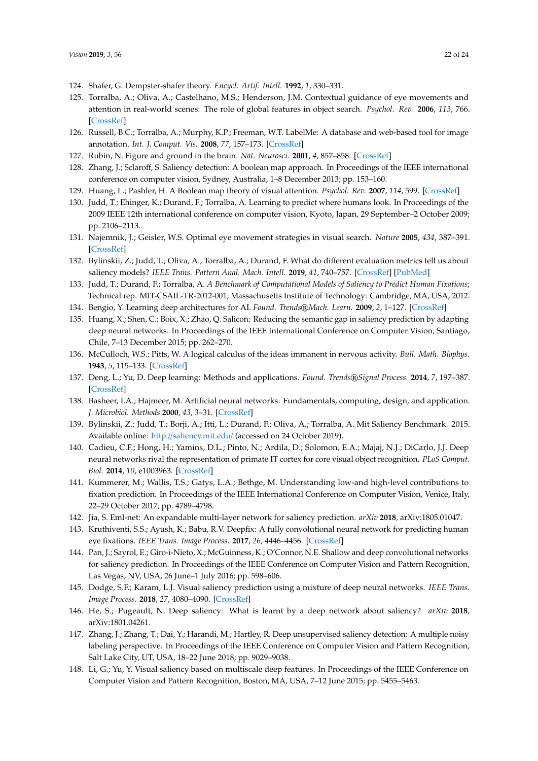- <span id="page-21-0"></span>124. Shafer, G. Dempster-shafer theory. *Encycl. Artif. Intell.* **1992**, *1*, 330–331.
- <span id="page-21-1"></span>125. Torralba, A.; Oliva, A.; Castelhano, M.S.; Henderson, J.M. Contextual guidance of eye movements and attention in real-world scenes: The role of global features in object search. *Psychol. Rev.* **2006**, *113*, 766. [\[CrossRef\]](http://dx.doi.org/10.1037/0033-295X.113.4.766)
- <span id="page-21-2"></span>126. Russell, B.C.; Torralba, A.; Murphy, K.P.; Freeman, W.T. LabelMe: A database and web-based tool for image annotation. *Int. J. Comput. Vis.* **2008**, *77*, 157–173. [\[CrossRef\]](http://dx.doi.org/10.1007/s11263-007-0090-8)
- <span id="page-21-3"></span>127. Rubin, N. Figure and ground in the brain. *Nat. Neurosci.* **2001**, *4*, 857–858. [\[CrossRef\]](http://dx.doi.org/10.1038/nn0901-857)
- <span id="page-21-4"></span>128. Zhang, J.; Sclaroff, S. Saliency detection: A boolean map approach. In Proceedings of the IEEE international conference on computer vision, Sydney, Australia, 1–8 December 2013; pp. 153–160.
- <span id="page-21-5"></span>129. Huang, L.; Pashler, H. A Boolean map theory of visual attention. *Psychol. Rev.* **2007**, *114*, 599. [\[CrossRef\]](http://dx.doi.org/10.1037/0033-295X.114.3.599)
- <span id="page-21-6"></span>130. Judd, T.; Ehinger, K.; Durand, F.; Torralba, A. Learning to predict where humans look. In Proceedings of the 2009 IEEE 12th international conference on computer vision, Kyoto, Japan, 29 September–2 October 2009; pp. 2106–2113.
- <span id="page-21-7"></span>131. Najemnik, J.; Geisler, W.S. Optimal eye movement strategies in visual search. *Nature* **2005**, *434*, 387–391. [\[CrossRef\]](http://dx.doi.org/10.1038/nature03390)
- <span id="page-21-8"></span>132. Bylinskii, Z.; Judd, T.; Oliva, A.; Torralba, A.; Durand, F. What do different evaluation metrics tell us about saliency models? *IEEE Trans. Pattern Anal. Mach. Intell.* **2019**, *41*, 740–757. [\[CrossRef\]](http://dx.doi.org/10.1109/TPAMI.2018.2815601) [\[PubMed\]](http://www.ncbi.nlm.nih.gov/pubmed/29993800)
- <span id="page-21-9"></span>133. Judd, T.; Durand, F.; Torralba, A. *A Benchmark of Computational Models of Saliency to Predict Human Fixations*; Technical rep. MIT-CSAIL-TR-2012-001; Massachusetts Institute of Technology: Cambridge, MA, USA, 2012.
- <span id="page-21-11"></span><span id="page-21-10"></span>134. Bengio, Y. Learning deep architectures for AI. *Found. Trends*®*Mach. Learn.* **2009**, *2*, 1–127. [\[CrossRef\]](http://dx.doi.org/10.1561/2200000006)
- 135. Huang, X.; Shen, C.; Boix, X.; Zhao, Q. Salicon: Reducing the semantic gap in saliency prediction by adapting deep neural networks. In Proceedings of the IEEE International Conference on Computer Vision, Santiago, Chile, 7–13 December 2015; pp. 262–270.
- <span id="page-21-12"></span>136. McCulloch, W.S.; Pitts, W. A logical calculus of the ideas immanent in nervous activity. *Bull. Math. Biophys.* **1943**, *5*, 115–133. [\[CrossRef\]](http://dx.doi.org/10.1007/BF02478259)
- <span id="page-21-13"></span>137. Deng, L.; Yu, D. Deep learning: Methods and applications. *Found. Trends*®*Signal Process.* **2014**, *7*, 197–387. [\[CrossRef\]](http://dx.doi.org/10.1561/2000000039)
- <span id="page-21-14"></span>138. Basheer, I.A.; Hajmeer, M. Artificial neural networks: Fundamentals, computing, design, and application. *J. Microbiol. Methods* **2000**, *43*, 3–31. [\[CrossRef\]](http://dx.doi.org/10.1016/S0167-7012(00)00201-3)
- <span id="page-21-15"></span>139. Bylinskii, Z.; Judd, T.; Borji, A.; Itti, L.; Durand, F.; Oliva, A.; Torralba, A. Mit Saliency Benchmark. 2015. Available online: http://[saliency.mit.edu](http://saliency.mit.edu/)/ (accessed on 24 October 2019).
- <span id="page-21-16"></span>140. Cadieu, C.F.; Hong, H.; Yamins, D.L.; Pinto, N.; Ardila, D.; Solomon, E.A.; Majaj, N.J.; DiCarlo, J.J. Deep neural networks rival the representation of primate IT cortex for core visual object recognition. *PLoS Comput. Biol.* **2014**, *10*, e1003963. [\[CrossRef\]](http://dx.doi.org/10.1371/journal.pcbi.1003963)
- <span id="page-21-17"></span>141. Kummerer, M.; Wallis, T.S.; Gatys, L.A.; Bethge, M. Understanding low-and high-level contributions to fixation prediction. In Proceedings of the IEEE International Conference on Computer Vision, Venice, Italy, 22–29 October 2017; pp. 4789–4798.
- <span id="page-21-18"></span>142. Jia, S. Eml-net: An expandable multi-layer network for saliency prediction. *arXiv* **2018**, arXiv:1805.01047.
- <span id="page-21-19"></span>143. Kruthiventi, S.S.; Ayush, K.; Babu, R.V. Deepfix: A fully convolutional neural network for predicting human eye fixations. *IEEE Trans. Image Process.* **2017**, *26*, 4446–4456. [\[CrossRef\]](http://dx.doi.org/10.1109/TIP.2017.2710620)
- <span id="page-21-20"></span>144. Pan, J.; Sayrol, E.; Giro-i-Nieto, X.; McGuinness, K.; O'Connor, N.E. Shallow and deep convolutional networks for saliency prediction. In Proceedings of the IEEE Conference on Computer Vision and Pattern Recognition, Las Vegas, NV, USA, 26 June–1 July 2016; pp. 598–606.
- 145. Dodge, S.F.; Karam, L.J. Visual saliency prediction using a mixture of deep neural networks. *IEEE Trans. Image Process.* **2018**, *27*, 4080–4090. [\[CrossRef\]](http://dx.doi.org/10.1109/TIP.2018.2834826)
- 146. He, S.; Pugeault, N. Deep saliency: What is learnt by a deep network about saliency? *arXiv* **2018**, arXiv:1801.04261.
- 147. Zhang, J.; Zhang, T.; Dai, Y.; Harandi, M.; Hartley, R. Deep unsupervised saliency detection: A multiple noisy labeling perspective. In Proceedings of the IEEE Conference on Computer Vision and Pattern Recognition, Salt Lake City, UT, USA, 18–22 June 2018; pp. 9029–9038.
- 148. Li, G.; Yu, Y. Visual saliency based on multiscale deep features. In Proceedings of the IEEE Conference on Computer Vision and Pattern Recognition, Boston, MA, USA, 7–12 June 2015; pp. 5455–5463.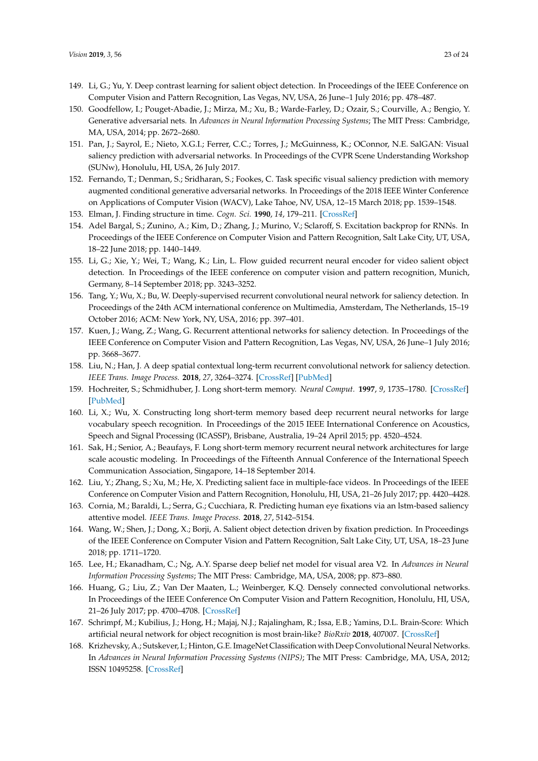- <span id="page-22-0"></span>149. Li, G.; Yu, Y. Deep contrast learning for salient object detection. In Proceedings of the IEEE Conference on Computer Vision and Pattern Recognition, Las Vegas, NV, USA, 26 June–1 July 2016; pp. 478–487.
- <span id="page-22-1"></span>150. Goodfellow, I.; Pouget-Abadie, J.; Mirza, M.; Xu, B.; Warde-Farley, D.; Ozair, S.; Courville, A.; Bengio, Y. Generative adversarial nets. In *Advances in Neural Information Processing Systems*; The MIT Press: Cambridge, MA, USA, 2014; pp. 2672–2680.
- <span id="page-22-2"></span>151. Pan, J.; Sayrol, E.; Nieto, X.G.I.; Ferrer, C.C.; Torres, J.; McGuinness, K.; OConnor, N.E. SalGAN: Visual saliency prediction with adversarial networks. In Proceedings of the CVPR Scene Understanding Workshop (SUNw), Honolulu, HI, USA, 26 July 2017.
- <span id="page-22-3"></span>152. Fernando, T.; Denman, S.; Sridharan, S.; Fookes, C. Task specific visual saliency prediction with memory augmented conditional generative adversarial networks. In Proceedings of the 2018 IEEE Winter Conference on Applications of Computer Vision (WACV), Lake Tahoe, NV, USA, 12–15 March 2018; pp. 1539–1548.
- <span id="page-22-4"></span>153. Elman, J. Finding structure in time. *Cogn. Sci.* **1990**, *14*, 179–211. [\[CrossRef\]](http://dx.doi.org/10.1207/s15516709cog1402_1)
- <span id="page-22-5"></span>154. Adel Bargal, S.; Zunino, A.; Kim, D.; Zhang, J.; Murino, V.; Sclaroff, S. Excitation backprop for RNNs. In Proceedings of the IEEE Conference on Computer Vision and Pattern Recognition, Salt Lake City, UT, USA, 18–22 June 2018; pp. 1440–1449.
- <span id="page-22-6"></span>155. Li, G.; Xie, Y.; Wei, T.; Wang, K.; Lin, L. Flow guided recurrent neural encoder for video salient object detection. In Proceedings of the IEEE conference on computer vision and pattern recognition, Munich, Germany, 8–14 September 2018; pp. 3243–3252.
- <span id="page-22-7"></span>156. Tang, Y.; Wu, X.; Bu, W. Deeply-supervised recurrent convolutional neural network for saliency detection. In Proceedings of the 24th ACM international conference on Multimedia, Amsterdam, The Netherlands, 15–19 October 2016; ACM: New York, NY, USA, 2016; pp. 397–401.
- <span id="page-22-8"></span>157. Kuen, J.; Wang, Z.; Wang, G. Recurrent attentional networks for saliency detection. In Proceedings of the IEEE Conference on Computer Vision and Pattern Recognition, Las Vegas, NV, USA, 26 June–1 July 2016; pp. 3668–3677.
- <span id="page-22-9"></span>158. Liu, N.; Han, J. A deep spatial contextual long-term recurrent convolutional network for saliency detection. *IEEE Trans. Image Process.* **2018**, *27*, 3264–3274. [\[CrossRef\]](http://dx.doi.org/10.1109/TIP.2018.2817047) [\[PubMed\]](http://www.ncbi.nlm.nih.gov/pubmed/29641405)
- <span id="page-22-10"></span>159. Hochreiter, S.; Schmidhuber, J. Long short-term memory. *Neural Comput.* **1997**, *9*, 1735–1780. [\[CrossRef\]](http://dx.doi.org/10.1162/neco.1997.9.8.1735) [\[PubMed\]](http://www.ncbi.nlm.nih.gov/pubmed/9377276)
- <span id="page-22-11"></span>160. Li, X.; Wu, X. Constructing long short-term memory based deep recurrent neural networks for large vocabulary speech recognition. In Proceedings of the 2015 IEEE International Conference on Acoustics, Speech and Signal Processing (ICASSP), Brisbane, Australia, 19–24 April 2015; pp. 4520–4524.
- <span id="page-22-12"></span>161. Sak, H.; Senior, A.; Beaufays, F. Long short-term memory recurrent neural network architectures for large scale acoustic modeling. In Proceedings of the Fifteenth Annual Conference of the International Speech Communication Association, Singapore, 14–18 September 2014.
- <span id="page-22-13"></span>162. Liu, Y.; Zhang, S.; Xu, M.; He, X. Predicting salient face in multiple-face videos. In Proceedings of the IEEE Conference on Computer Vision and Pattern Recognition, Honolulu, HI, USA, 21–26 July 2017; pp. 4420–4428.
- <span id="page-22-14"></span>163. Cornia, M.; Baraldi, L.; Serra, G.; Cucchiara, R. Predicting human eye fixations via an lstm-based saliency attentive model. *IEEE Trans. Image Process.* **2018**, *27*, 5142–5154.
- <span id="page-22-15"></span>164. Wang, W.; Shen, J.; Dong, X.; Borji, A. Salient object detection driven by fixation prediction. In Proceedings of the IEEE Conference on Computer Vision and Pattern Recognition, Salt Lake City, UT, USA, 18–23 June 2018; pp. 1711–1720.
- <span id="page-22-16"></span>165. Lee, H.; Ekanadham, C.; Ng, A.Y. Sparse deep belief net model for visual area V2. In *Advances in Neural Information Processing Systems*; The MIT Press: Cambridge, MA, USA, 2008; pp. 873–880.
- <span id="page-22-17"></span>166. Huang, G.; Liu, Z.; Van Der Maaten, L.; Weinberger, K.Q. Densely connected convolutional networks. In Proceedings of the IEEE Conference On Computer Vision and Pattern Recognition, Honolulu, HI, USA, 21–26 July 2017; pp. 4700–4708. [\[CrossRef\]](http://dx.doi.org/10.1109/CVPR.2017.243)
- <span id="page-22-18"></span>167. Schrimpf, M.; Kubilius, J.; Hong, H.; Majaj, N.J.; Rajalingham, R.; Issa, E.B.; Yamins, D.L. Brain-Score: Which artificial neural network for object recognition is most brain-like? *BioRxiv* **2018**, 407007. [\[CrossRef\]](http://dx.doi.org/10.1101/407007)
- <span id="page-22-19"></span>168. Krizhevsky, A.; Sutskever, I.; Hinton, G.E. ImageNet Classification with Deep Convolutional Neural Networks. In *Advances in Neural Information Processing Systems (NIPS)*; The MIT Press: Cambridge, MA, USA, 2012; ISSN 10495258. [\[CrossRef\]](http://dx.doi.org/10.1016/j.protcy.2014.09.007)